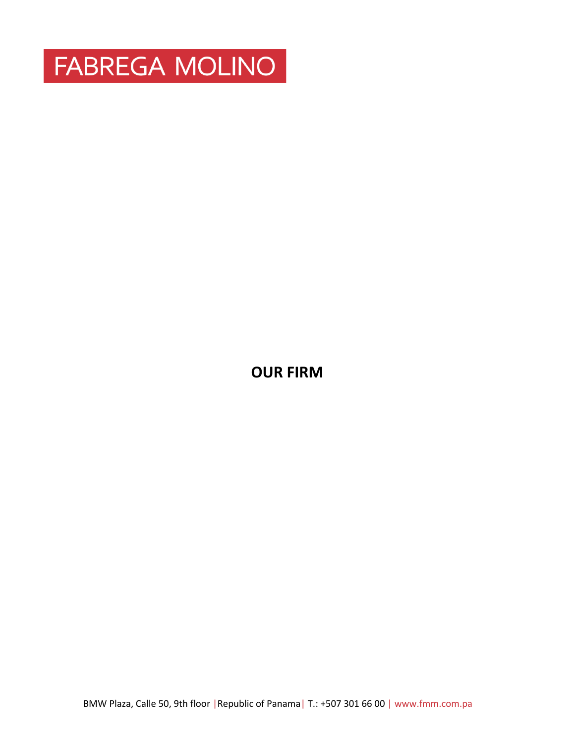

**OUR FIRM**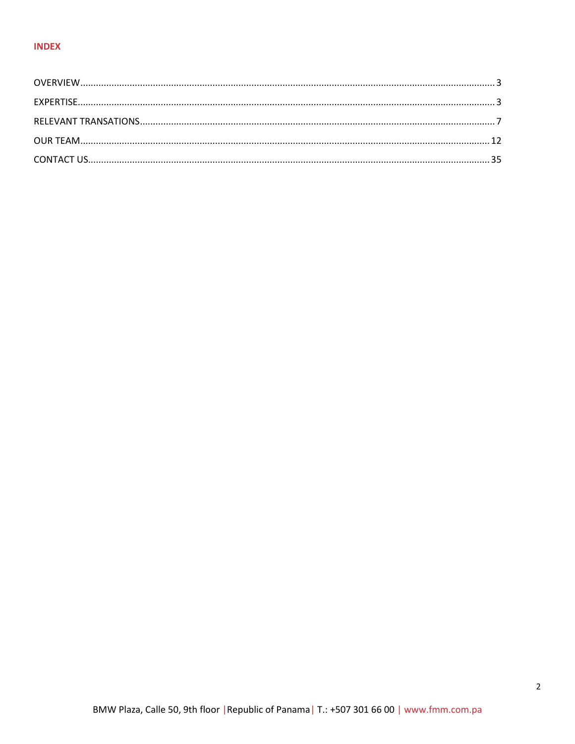# **INDEX**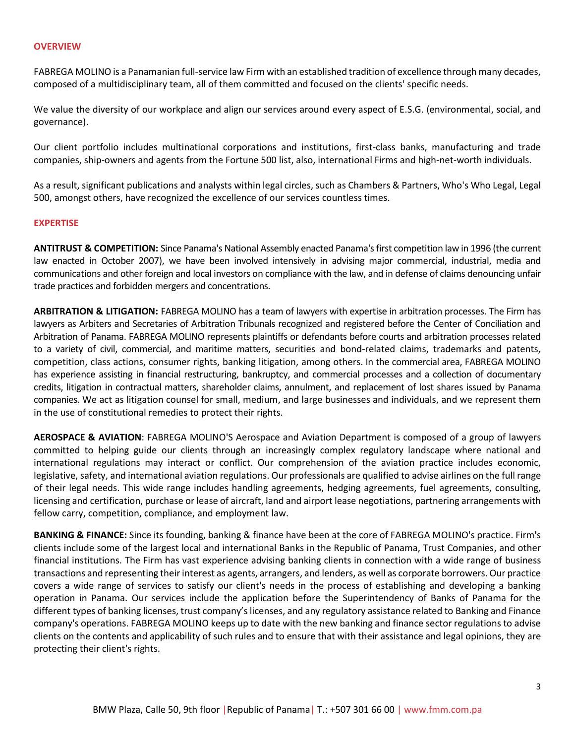#### <span id="page-2-0"></span>**OVERVIEW**

FABREGA MOLINO is a Panamanian full-service law Firm with an established tradition of excellence through many decades, composed of a multidisciplinary team, all of them committed and focused on the clients' specific needs.

We value the diversity of our workplace and align our services around every aspect of E.S.G. (environmental, social, and governance).

Our client portfolio includes multinational corporations and institutions, first-class banks, manufacturing and trade companies, ship-owners and agents from the Fortune 500 list, also, international Firms and high-net-worth individuals.

As a result, significant publications and analysts within legal circles, such as Chambers & Partners, Who's Who Legal, Legal 500, amongst others, have recognized the excellence of our services countless times.

#### <span id="page-2-1"></span>**EXPERTISE**

**ANTITRUST & COMPETITION:** Since Panama's National Assembly enacted Panama's first competition law in 1996 (the current law enacted in October 2007), we have been involved intensively in advising major commercial, industrial, media and communications and other foreign and local investors on compliance with the law, and in defense of claims denouncing unfair trade practices and forbidden mergers and concentrations.

**ARBITRATION & LITIGATION:** FABREGA MOLINO has a team of lawyers with expertise in arbitration processes. The Firm has lawyers as Arbiters and Secretaries of Arbitration Tribunals recognized and registered before the Center of Conciliation and Arbitration of Panama. FABREGA MOLINO represents plaintiffs or defendants before courts and arbitration processes related to a variety of civil, commercial, and maritime matters, securities and bond-related claims, trademarks and patents, competition, class actions, consumer rights, banking litigation, among others. In the commercial area, FABREGA MOLINO has experience assisting in financial restructuring, bankruptcy, and commercial processes and a collection of documentary credits, litigation in contractual matters, shareholder claims, annulment, and replacement of lost shares issued by Panama companies. We act as litigation counsel for small, medium, and large businesses and individuals, and we represent them in the use of constitutional remedies to protect their rights.

**AEROSPACE & AVIATION**: FABREGA MOLINO'S Aerospace and Aviation Department is composed of a group of lawyers committed to helping guide our clients through an increasingly complex regulatory landscape where national and international regulations may interact or conflict. Our comprehension of the aviation practice includes economic, legislative, safety, and international aviation regulations. Our professionals are qualified to advise airlines on the full range of their legal needs. This wide range includes handling agreements, hedging agreements, fuel agreements, consulting, licensing and certification, purchase or lease of aircraft, land and airport lease negotiations, partnering arrangements with fellow carry, competition, compliance, and employment law.

**BANKING & FINANCE:** Since its founding, banking & finance have been at the core of FABREGA MOLINO's practice. Firm's clients include some of the largest local and international Banks in the Republic of Panama, Trust Companies, and other financial institutions. The Firm has vast experience advising banking clients in connection with a wide range of business transactions and representing their interest as agents, arrangers, and lenders, as well as corporate borrowers. Our practice covers a wide range of services to satisfy our client's needs in the process of establishing and developing a banking operation in Panama. Our services include the application before the Superintendency of Banks of Panama for the different types of banking licenses, trust company's licenses, and any regulatory assistance related to Banking and Finance company's operations. FABREGA MOLINO keeps up to date with the new banking and finance sector regulations to advise clients on the contents and applicability of such rules and to ensure that with their assistance and legal opinions, they are protecting their client's rights.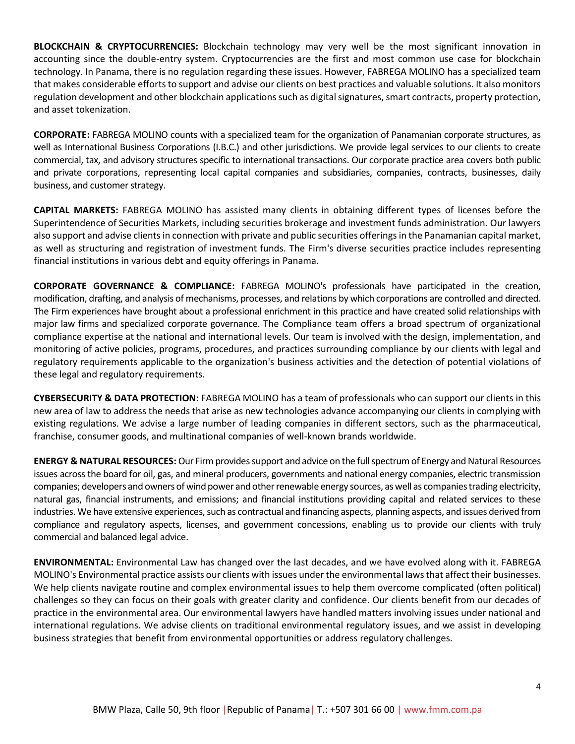**BLOCKCHAIN & CRYPTOCURRENCIES:** Blockchain technology may very well be the most significant innovation in accounting since the double-entry system. Cryptocurrencies are the first and most common use case for blockchain technology. In Panama, there is no regulation regarding these issues. However, FABREGA MOLINO has a specialized team that makes considerable efforts to support and advise our clients on best practices and valuable solutions. It also monitors regulation development and other blockchain applications such as digital signatures, smart contracts, property protection, and asset tokenization.

**CORPORATE:** FABREGA MOLINO counts with a specialized team for the organization of Panamanian corporate structures, as well as International Business Corporations (I.B.C.) and other jurisdictions. We provide legal services to our clients to create commercial, tax, and advisory structures specific to international transactions. Our corporate practice area covers both public and private corporations, representing local capital companies and subsidiaries, companies, contracts, businesses, daily business, and customer strategy.

**CAPITAL MARKETS:** FABREGA MOLINO has assisted many clients in obtaining different types of licenses before the Superintendence of Securities Markets, including securities brokerage and investment funds administration. Our lawyers also support and advise clients in connection with private and public securities offeringsin the Panamanian capital market, as well as structuring and registration of investment funds. The Firm's diverse securities practice includes representing financial institutions in various debt and equity offerings in Panama.

**CORPORATE GOVERNANCE & COMPLIANCE:** FABREGA MOLINO's professionals have participated in the creation, modification, drafting, and analysis of mechanisms, processes, and relations by which corporations are controlled and directed. The Firm experiences have brought about a professional enrichment in this practice and have created solid relationships with major law firms and specialized corporate governance. The Compliance team offers a broad spectrum of organizational compliance expertise at the national and international levels. Our team is involved with the design, implementation, and monitoring of active policies, programs, procedures, and practices surrounding compliance by our clients with legal and regulatory requirements applicable to the organization's business activities and the detection of potential violations of these legal and regulatory requirements.

**CYBERSECURITY & DATA PROTECTION:** FABREGA MOLINO has a team of professionals who can support our clients in this new area of law to address the needs that arise as new technologies advance accompanying our clients in complying with existing regulations. We advise a large number of leading companies in different sectors, such as the pharmaceutical, franchise, consumer goods, and multinational companies of well-known brands worldwide.

**ENERGY & NATURAL RESOURCES:** Our Firmprovides support and advice on the full spectrum of Energy and Natural Resources issues across the board for oil, gas, and mineral producers, governments and national energy companies, electric transmission companies; developers and owners of wind power and other renewable energy sources, as well as companies trading electricity, natural gas, financial instruments, and emissions; and financial institutions providing capital and related services to these industries. We have extensive experiences, such as contractual and financing aspects, planning aspects, and issues derived from compliance and regulatory aspects, licenses, and government concessions, enabling us to provide our clients with truly commercial and balanced legal advice.

**ENVIRONMENTAL:** Environmental Law has changed over the last decades, and we have evolved along with it. FABREGA MOLINO's Environmental practice assists our clients with issues under the environmental laws that affect their businesses. We help clients navigate routine and complex environmental issues to help them overcome complicated (often political) challenges so they can focus on their goals with greater clarity and confidence. Our clients benefit from our decades of practice in the environmental area. Our environmental lawyers have handled matters involving issues under national and international regulations. We advise clients on traditional environmental regulatory issues, and we assist in developing business strategies that benefit from environmental opportunities or address regulatory challenges.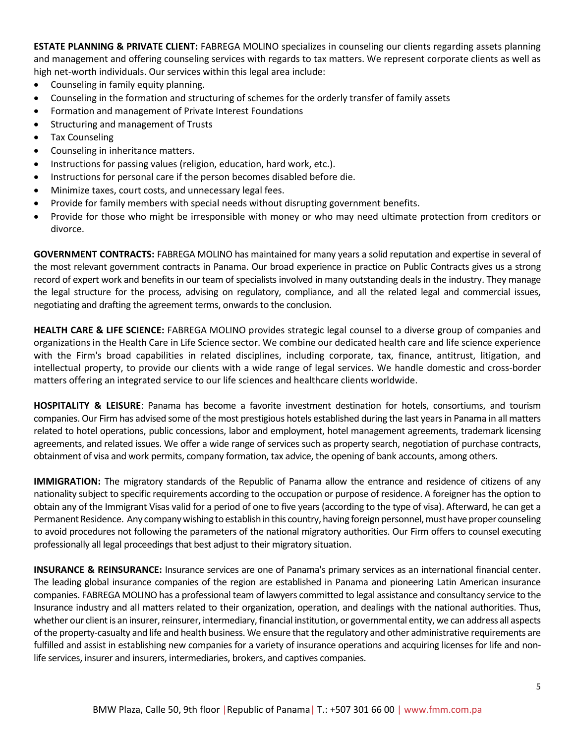**ESTATE PLANNING & PRIVATE CLIENT:** FABREGA MOLINO specializes in counseling our clients regarding assets planning and management and offering counseling services with regards to tax matters. We represent corporate clients as well as high net-worth individuals. Our services within this legal area include:

- Counseling in family equity planning.
- Counseling in the formation and structuring of schemes for the orderly transfer of family assets
- Formation and management of Private Interest Foundations
- Structuring and management of Trusts
- Tax Counseling
- Counseling in inheritance matters.
- Instructions for passing values (religion, education, hard work, etc.).
- Instructions for personal care if the person becomes disabled before die.
- Minimize taxes, court costs, and unnecessary legal fees.
- Provide for family members with special needs without disrupting government benefits.
- Provide for those who might be irresponsible with money or who may need ultimate protection from creditors or divorce.

**GOVERNMENT CONTRACTS:** FABREGA MOLINO has maintained for many years a solid reputation and expertise in several of the most relevant government contracts in Panama. Our broad experience in practice on Public Contracts gives us a strong record of expert work and benefits in our team of specialists involved in many outstanding deals in the industry. They manage the legal structure for the process, advising on regulatory, compliance, and all the related legal and commercial issues, negotiating and drafting the agreement terms, onwards to the conclusion.

**HEALTH CARE & LIFE SCIENCE:** FABREGA MOLINO provides strategic legal counsel to a diverse group of companies and organizations in the Health Care in Life Science sector. We combine our dedicated health care and life science experience with the Firm's broad capabilities in related disciplines, including corporate, tax, finance, antitrust, litigation, and intellectual property, to provide our clients with a wide range of legal services. We handle domestic and cross-border matters offering an integrated service to our life sciences and healthcare clients worldwide.

**HOSPITALITY & LEISURE**: Panama has become a favorite investment destination for hotels, consortiums, and tourism companies. Our Firm has advised some of the most prestigious hotels established during the last years in Panama in all matters related to hotel operations, public concessions, labor and employment, hotel management agreements, trademark licensing agreements, and related issues. We offer a wide range of services such as property search, negotiation of purchase contracts, obtainment of visa and work permits, company formation, tax advice, the opening of bank accounts, among others.

**IMMIGRATION:** The migratory standards of the Republic of Panama allow the entrance and residence of citizens of any nationality subject to specific requirements according to the occupation or purpose of residence. A foreigner has the option to obtain any of the Immigrant Visas valid for a period of one to five years (according to the type of visa). Afterward, he can get a Permanent Residence. Any company wishing to establish in this country, having foreign personnel, must have proper counseling to avoid procedures not following the parameters of the national migratory authorities. Our Firm offers to counsel executing professionally all legal proceedings that best adjust to their migratory situation.

**INSURANCE & REINSURANCE:** Insurance services are one of Panama's primary services as an international financial center. The leading global insurance companies of the region are established in Panama and pioneering Latin American insurance companies. FABREGA MOLINO has a professional team of lawyers committed to legal assistance and consultancy service to the Insurance industry and all matters related to their organization, operation, and dealings with the national authorities. Thus, whether our client is an insurer, reinsurer, intermediary, financial institution, or governmental entity, we can address all aspects of the property-casualty and life and health business. We ensure that the regulatory and other administrative requirements are fulfilled and assist in establishing new companies for a variety of insurance operations and acquiring licenses for life and nonlife services, insurer and insurers, intermediaries, brokers, and captives companies.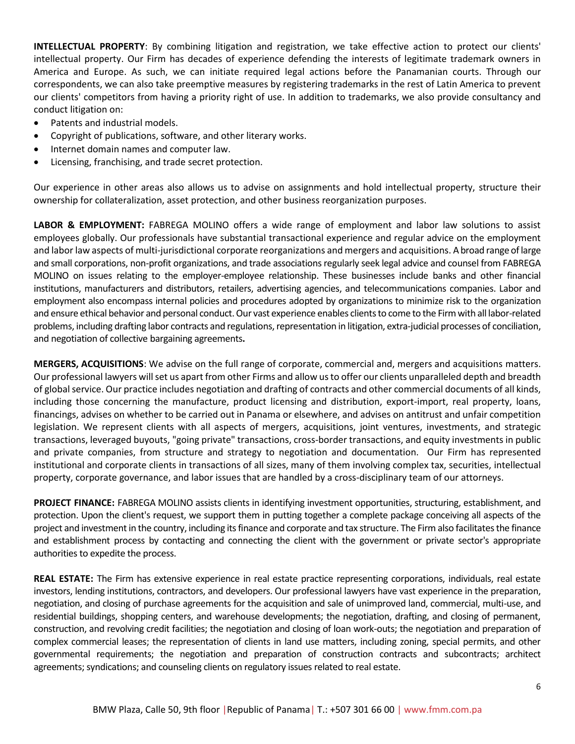**INTELLECTUAL PROPERTY**: By combining litigation and registration, we take effective action to protect our clients' intellectual property. Our Firm has decades of experience defending the interests of legitimate trademark owners in America and Europe. As such, we can initiate required legal actions before the Panamanian courts. Through our correspondents, we can also take preemptive measures by registering trademarks in the rest of Latin America to prevent our clients' competitors from having a priority right of use. In addition to trademarks, we also provide consultancy and conduct litigation on:

- Patents and industrial models.
- Copyright of publications, software, and other literary works.
- Internet domain names and computer law.
- Licensing, franchising, and trade secret protection.

Our experience in other areas also allows us to advise on assignments and hold intellectual property, structure their ownership for collateralization, asset protection, and other business reorganization purposes.

**LABOR & EMPLOYMENT:** FABREGA MOLINO offers a wide range of employment and labor law solutions to assist employees globally. Our professionals have substantial transactional experience and regular advice on the employment and labor law aspects of multi-jurisdictional corporate reorganizations and mergers and acquisitions. A broad range of large and small corporations, non-profit organizations, and trade associations regularly seek legal advice and counsel from FABREGA MOLINO on issues relating to the employer-employee relationship. These businesses include banks and other financial institutions, manufacturers and distributors, retailers, advertising agencies, and telecommunications companies. Labor and employment also encompass internal policies and procedures adopted by organizations to minimize risk to the organization and ensure ethical behavior and personal conduct.Our vast experience enables clients to come to the Firmwith all labor-related problems, including drafting labor contracts and regulations, representation in litigation, extra-judicial processes of conciliation, and negotiation of collective bargaining agreements**.**

**MERGERS, ACQUISITIONS**: We advise on the full range of corporate, commercial and, mergers and acquisitions matters. Our professional lawyers will set us apart from other Firms and allow us to offer our clients unparalleled depth and breadth of global service. Our practice includes negotiation and drafting of contracts and other commercial documents of all kinds, including those concerning the manufacture, product licensing and distribution, export-import, real property, loans, financings, advises on whether to be carried out in Panama or elsewhere, and advises on antitrust and unfair competition legislation. We represent clients with all aspects of mergers, acquisitions, joint ventures, investments, and strategic transactions, leveraged buyouts, "going private" transactions, cross-border transactions, and equity investments in public and private companies, from structure and strategy to negotiation and documentation. Our Firm has represented institutional and corporate clients in transactions of all sizes, many of them involving complex tax, securities, intellectual property, corporate governance, and labor issues that are handled by a cross-disciplinary team of our attorneys.

**PROJECT FINANCE:** FABREGA MOLINO assists clients in identifying investment opportunities, structuring, establishment, and protection. Upon the client's request, we support them in putting together a complete package conceiving all aspects of the project and investment in the country, including its finance and corporate and tax structure. The Firm also facilitates the finance and establishment process by contacting and connecting the client with the government or private sector's appropriate authorities to expedite the process.

**REAL ESTATE:** The Firm has extensive experience in real estate practice representing corporations, individuals, real estate investors, lending institutions, contractors, and developers. Our professional lawyers have vast experience in the preparation, negotiation, and closing of purchase agreements for the acquisition and sale of unimproved land, commercial, multi-use, and residential buildings, shopping centers, and warehouse developments; the negotiation, drafting, and closing of permanent, construction, and revolving credit facilities; the negotiation and closing of loan work-outs; the negotiation and preparation of complex commercial leases; the representation of clients in land use matters, including zoning, special permits, and other governmental requirements; the negotiation and preparation of construction contracts and subcontracts; architect agreements; syndications; and counseling clients on regulatory issues related to real estate.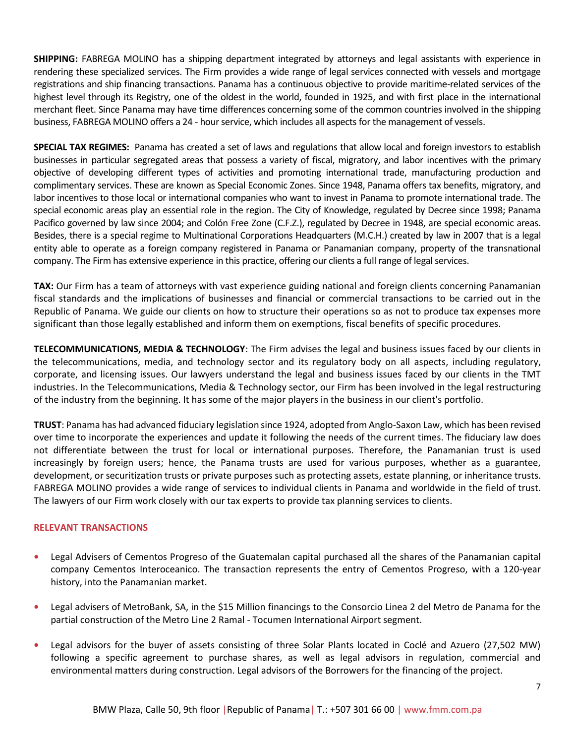**SHIPPING:** FABREGA MOLINO has a shipping department integrated by attorneys and legal assistants with experience in rendering these specialized services. The Firm provides a wide range of legal services connected with vessels and mortgage registrations and ship financing transactions. Panama has a continuous objective to provide maritime-related services of the highest level through its Registry, one of the oldest in the world, founded in 1925, and with first place in the international merchant fleet. Since Panama may have time differences concerning some of the common countries involved in the shipping business, FABREGA MOLINO offers a 24 - hour service, which includes all aspects for the management of vessels.

**SPECIAL TAX REGIMES:** Panama has created a set of laws and regulations that allow local and foreign investors to establish businesses in particular segregated areas that possess a variety of fiscal, migratory, and labor incentives with the primary objective of developing different types of activities and promoting international trade, manufacturing production and complimentary services. These are known as Special Economic Zones. Since 1948, Panama offers tax benefits, migratory, and labor incentives to those local or international companies who want to invest in Panama to promote international trade. The special economic areas play an essential role in the region. The City of Knowledge, regulated by Decree since 1998; Panama Pacifico governed by law since 2004; and Colón Free Zone (C.F.Z.), regulated by Decree in 1948, are special economic areas. Besides, there is a special regime to Multinational Corporations Headquarters (M.C.H.) created by law in 2007 that is a legal entity able to operate as a foreign company registered in Panama or Panamanian company, property of the transnational company. The Firm has extensive experience in this practice, offering our clients a full range of legal services.

**TAX:** Our Firm has a team of attorneys with vast experience guiding national and foreign clients concerning Panamanian fiscal standards and the implications of businesses and financial or commercial transactions to be carried out in the Republic of Panama. We guide our clients on how to structure their operations so as not to produce tax expenses more significant than those legally established and inform them on exemptions, fiscal benefits of specific procedures.

**TELECOMMUNICATIONS, MEDIA & TECHNOLOGY**: The Firm advises the legal and business issues faced by our clients in the telecommunications, media, and technology sector and its regulatory body on all aspects, including regulatory, corporate, and licensing issues. Our lawyers understand the legal and business issues faced by our clients in the TMT industries. In the Telecommunications, Media & Technology sector, our Firm has been involved in the legal restructuring of the industry from the beginning. It has some of the major players in the business in our client's portfolio.

<span id="page-6-0"></span>**TRUST**: Panama has had advanced fiduciary legislation since 1924, adopted from Anglo-Saxon Law, which has been revised over time to incorporate the experiences and update it following the needs of the current times. The fiduciary law does not differentiate between the trust for local or international purposes. Therefore, the Panamanian trust is used increasingly by foreign users; hence, the Panama trusts are used for various purposes, whether as a guarantee, development, or securitization trusts or private purposes such as protecting assets, estate planning, or inheritance trusts. FABREGA MOLINO provides a wide range of services to individual clients in Panama and worldwide in the field of trust. The lawyers of our Firm work closely with our tax experts to provide tax planning services to clients.

# **RELEVANT TRANSACTIONS**

- **•** Legal Advisers of Cementos Progreso of the Guatemalan capital purchased all the shares of the Panamanian capital company Cementos Interoceanico. The transaction represents the entry of Cementos Progreso, with a 120-year history, into the Panamanian market.
- **•** Legal advisers of MetroBank, SA, in the \$15 Million financings to the Consorcio Linea 2 del Metro de Panama for the partial construction of the Metro Line 2 Ramal - Tocumen International Airport segment.
- **•** Legal advisors for the buyer of assets consisting of three Solar Plants located in Coclé and Azuero (27,502 MW) following a specific agreement to purchase shares, as well as legal advisors in regulation, commercial and environmental matters during construction. Legal advisors of the Borrowers for the financing of the project.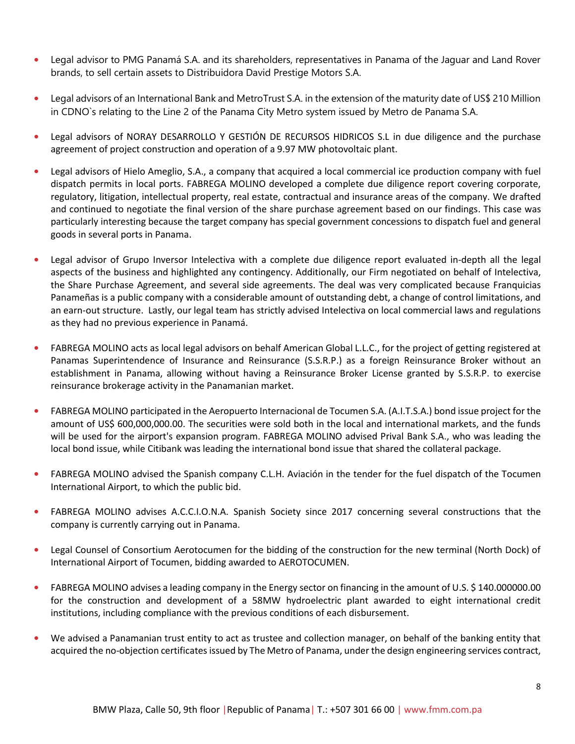- **•** Legal advisor to PMG Panamá S.A. and its shareholders, representatives in Panama of the Jaguar and Land Rover brands, to sell certain assets to Distribuidora David Prestige Motors S.A.
- **•** Legal advisors of an International Bank and MetroTrust S.A. in the extension of the maturity date of US\$ 210 Million in CDNO`s relating to the Line 2 of the Panama City Metro system issued by Metro de Panama S.A.
- **•** Legal advisors of NORAY DESARROLLO Y GESTIÓN DE RECURSOS HIDRICOS S.L in due diligence and the purchase agreement of project construction and operation of a 9.97 MW photovoltaic plant.
- **•** Legal advisors of Hielo Ameglio, S.A., a company that acquired a local commercial ice production company with fuel dispatch permits in local ports. FABREGA MOLINO developed a complete due diligence report covering corporate, regulatory, litigation, intellectual property, real estate, contractual and insurance areas of the company. We drafted and continued to negotiate the final version of the share purchase agreement based on our findings. This case was particularly interesting because the target company has special government concessions to dispatch fuel and general goods in several ports in Panama.
- **•** Legal advisor of Grupo Inversor Intelectiva with a complete due diligence report evaluated in-depth all the legal aspects of the business and highlighted any contingency. Additionally, our Firm negotiated on behalf of Intelectiva, the Share Purchase Agreement, and several side agreements. The deal was very complicated because Franquicias Panameñas is a public company with a considerable amount of outstanding debt, a change of control limitations, and an earn-out structure. Lastly, our legal team has strictly advised Intelectiva on local commercial laws and regulations as they had no previous experience in Panamá.
- **•** FABREGA MOLINO acts as local legal advisors on behalf American Global L.L.C., for the project of getting registered at Panamas Superintendence of Insurance and Reinsurance (S.S.R.P.) as a foreign Reinsurance Broker without an establishment in Panama, allowing without having a Reinsurance Broker License granted by S.S.R.P. to exercise reinsurance brokerage activity in the Panamanian market.
- **•** FABREGA MOLINO participated in the Aeropuerto Internacional de Tocumen S.A. (A.I.T.S.A.) bond issue project for the amount of US\$ 600,000,000.00. The securities were sold both in the local and international markets, and the funds will be used for the airport's expansion program. FABREGA MOLINO advised Prival Bank S.A., who was leading the local bond issue, while Citibank was leading the international bond issue that shared the collateral package.
- **•** FABREGA MOLINO advised the Spanish company C.L.H. Aviación in the tender for the fuel dispatch of the Tocumen International Airport, to which the public bid.
- **•** FABREGA MOLINO advises A.C.C.I.O.N.A. Spanish Society since 2017 concerning several constructions that the company is currently carrying out in Panama.
- **•** Legal Counsel of Consortium Aerotocumen for the bidding of the construction for the new terminal (North Dock) of International Airport of Tocumen, bidding awarded to AEROTOCUMEN.
- FABREGA MOLINO advises a leading company in the Energy sector on financing in the amount of U.S. \$140.000000.00 for the construction and development of a 58MW hydroelectric plant awarded to eight international credit institutions, including compliance with the previous conditions of each disbursement.
- **•** We advised a Panamanian trust entity to act as trustee and collection manager, on behalf of the banking entity that acquired the no-objection certificates issued by The Metro of Panama, under the design engineering services contract,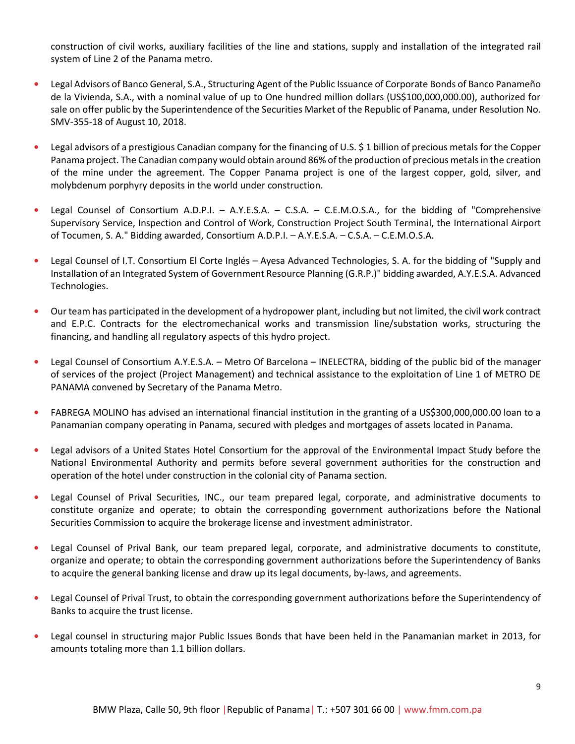construction of civil works, auxiliary facilities of the line and stations, supply and installation of the integrated rail system of Line 2 of the Panama metro.

- **•** Legal Advisors of Banco General, S.A., Structuring Agent of the Public Issuance of Corporate Bonds of Banco Panameño de la Vivienda, S.A., with a nominal value of up to One hundred million dollars (US\$100,000,000.00), authorized for sale on offer public by the Superintendence of the Securities Market of the Republic of Panama, under Resolution No. SMV-355-18 of August 10, 2018.
- Legal advisors of a prestigious Canadian company for the financing of U.S. \$1 billion of precious metals for the Copper Panama project. The Canadian company would obtain around 86% of the production of precious metals in the creation of the mine under the agreement. The Copper Panama project is one of the largest copper, gold, silver, and molybdenum porphyry deposits in the world under construction.
- **•** Legal Counsel of Consortium A.D.P.I. A.Y.E.S.A. C.S.A. C.E.M.O.S.A., for the bidding of "Comprehensive Supervisory Service, Inspection and Control of Work, Construction Project South Terminal, the International Airport of Tocumen, S. A." Bidding awarded, Consortium A.D.P.I. – A.Y.E.S.A. – C.S.A. – C.E.M.O.S.A.
- **•** Legal Counsel of I.T. Consortium El Corte Inglés Ayesa Advanced Technologies, S. A. for the bidding of "Supply and Installation of an Integrated System of Government Resource Planning (G.R.P.)" bidding awarded, A.Y.E.S.A. Advanced Technologies.
- **•** Our team has participated in the development of a hydropower plant, including but not limited, the civil work contract and E.P.C. Contracts for the electromechanical works and transmission line/substation works, structuring the financing, and handling all regulatory aspects of this hydro project.
- **•** Legal Counsel of Consortium A.Y.E.S.A. Metro Of Barcelona INELECTRA, bidding of the public bid of the manager of services of the project (Project Management) and technical assistance to the exploitation of Line 1 of METRO DE PANAMA convened by Secretary of the Panama Metro.
- **•** FABREGA MOLINO has advised an international financial institution in the granting of a US\$300,000,000.00 loan to a Panamanian company operating in Panama, secured with pledges and mortgages of assets located in Panama.
- **•** Legal advisors of a United States Hotel Consortium for the approval of the Environmental Impact Study before the National Environmental Authority and permits before several government authorities for the construction and operation of the hotel under construction in the colonial city of Panama section.
- **•** Legal Counsel of Prival Securities, INC., our team prepared legal, corporate, and administrative documents to constitute organize and operate; to obtain the corresponding government authorizations before the National Securities Commission to acquire the brokerage license and investment administrator.
- **•** Legal Counsel of Prival Bank, our team prepared legal, corporate, and administrative documents to constitute, organize and operate; to obtain the corresponding government authorizations before the Superintendency of Banks to acquire the general banking license and draw up its legal documents, by-laws, and agreements.
- **•** Legal Counsel of Prival Trust, to obtain the corresponding government authorizations before the Superintendency of Banks to acquire the trust license.
- **•** Legal counsel in structuring major Public Issues Bonds that have been held in the Panamanian market in 2013, for amounts totaling more than 1.1 billion dollars.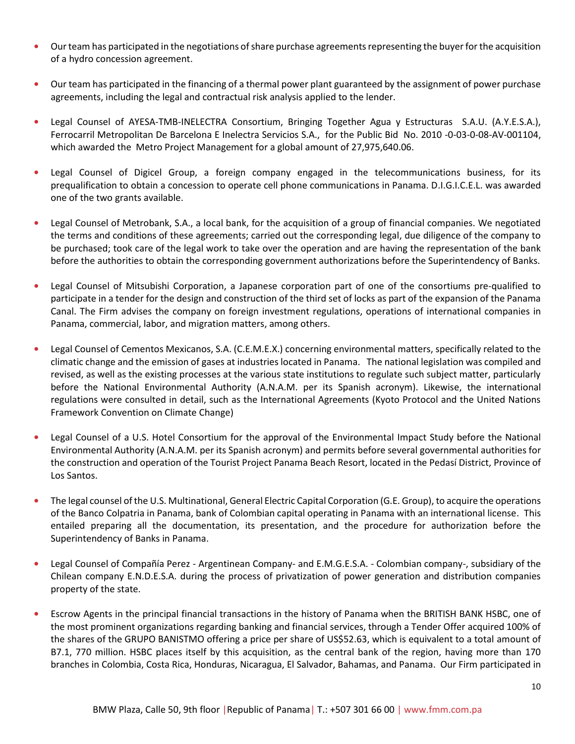- **•** Our team has participated in the negotiations of share purchase agreements representing the buyer for the acquisition of a hydro concession agreement.
- **•** Our team has participated in the financing of a thermal power plant guaranteed by the assignment of power purchase agreements, including the legal and contractual risk analysis applied to the lender.
- **•** Legal Counsel of AYESA-TMB-INELECTRA Consortium, Bringing Together Agua y Estructuras S.A.U. (A.Y.E.S.A.), Ferrocarril Metropolitan De Barcelona E Inelectra Servicios S.A., for the Public Bid No. 2010 -0-03-0-08-AV-001104, which awarded the Metro Project Management for a global amount of 27,975,640.06.
- **•** Legal Counsel of Digicel Group, a foreign company engaged in the telecommunications business, for its prequalification to obtain a concession to operate cell phone communications in Panama. D.I.G.I.C.E.L. was awarded one of the two grants available.
- **•** Legal Counsel of Metrobank, S.A., a local bank, for the acquisition of a group of financial companies. We negotiated the terms and conditions of these agreements; carried out the corresponding legal, due diligence of the company to be purchased; took care of the legal work to take over the operation and are having the representation of the bank before the authorities to obtain the corresponding government authorizations before the Superintendency of Banks.
- **•** Legal Counsel of Mitsubishi Corporation, a Japanese corporation part of one of the consortiums pre-qualified to participate in a tender for the design and construction of the third set of locks as part of the expansion of the Panama Canal. The Firm advises the company on foreign investment regulations, operations of international companies in Panama, commercial, labor, and migration matters, among others.
- **•** Legal Counsel of Cementos Mexicanos, S.A. (C.E.M.E.X.) concerning environmental matters, specifically related to the climatic change and the emission of gases at industries located in Panama. The national legislation was compiled and revised, as well as the existing processes at the various state institutions to regulate such subject matter, particularly before the National Environmental Authority (A.N.A.M. per its Spanish acronym). Likewise, the international regulations were consulted in detail, such as the International Agreements (Kyoto Protocol and the United Nations Framework Convention on Climate Change)
- **•** Legal Counsel of a U.S. Hotel Consortium for the approval of the Environmental Impact Study before the National Environmental Authority (A.N.A.M. per its Spanish acronym) and permits before several governmental authorities for the construction and operation of the Tourist Project Panama Beach Resort, located in the Pedasí District, Province of Los Santos.
- **•** The legal counsel of the U.S. Multinational, General Electric Capital Corporation (G.E. Group), to acquire the operations of the Banco Colpatria in Panama, bank of Colombian capital operating in Panama with an international license. This entailed preparing all the documentation, its presentation, and the procedure for authorization before the Superintendency of Banks in Panama.
- **•** Legal Counsel of Compañía Perez Argentinean Company- and E.M.G.E.S.A. Colombian company-, subsidiary of the Chilean company E.N.D.E.S.A. during the process of privatization of power generation and distribution companies property of the state.
- **•** Escrow Agents in the principal financial transactions in the history of Panama when the BRITISH BANK HSBC, one of the most prominent organizations regarding banking and financial services, through a Tender Offer acquired 100% of the shares of the GRUPO BANISTMO offering a price per share of US\$52.63, which is equivalent to a total amount of B7.1, 770 million. HSBC places itself by this acquisition, as the central bank of the region, having more than 170 branches in Colombia, Costa Rica, Honduras, Nicaragua, El Salvador, Bahamas, and Panama. Our Firm participated in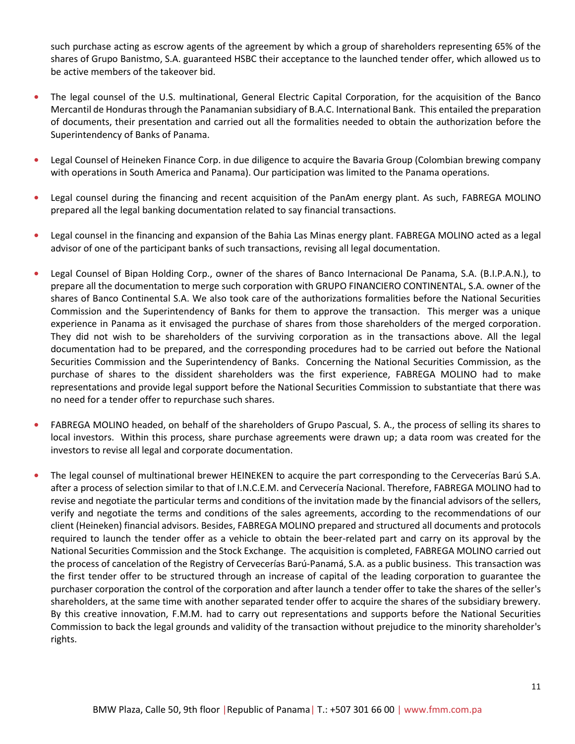such purchase acting as escrow agents of the agreement by which a group of shareholders representing 65% of the shares of Grupo Banistmo, S.A. guaranteed HSBC their acceptance to the launched tender offer, which allowed us to be active members of the takeover bid.

- **•** The legal counsel of the U.S. multinational, General Electric Capital Corporation, for the acquisition of the Banco Mercantil de Honduras through the Panamanian subsidiary of B.A.C. International Bank. This entailed the preparation of documents, their presentation and carried out all the formalities needed to obtain the authorization before the Superintendency of Banks of Panama.
- **•** Legal Counsel of Heineken Finance Corp. in due diligence to acquire the Bavaria Group (Colombian brewing company with operations in South America and Panama). Our participation was limited to the Panama operations.
- **•** Legal counsel during the financing and recent acquisition of the PanAm energy plant. As such, FABREGA MOLINO prepared all the legal banking documentation related to say financial transactions.
- **•** Legal counsel in the financing and expansion of the Bahia Las Minas energy plant. FABREGA MOLINO acted as a legal advisor of one of the participant banks of such transactions, revising all legal documentation.
- **•** Legal Counsel of Bipan Holding Corp., owner of the shares of Banco Internacional De Panama, S.A. (B.I.P.A.N.), to prepare all the documentation to merge such corporation with GRUPO FINANCIERO CONTINENTAL, S.A. owner of the shares of Banco Continental S.A. We also took care of the authorizations formalities before the National Securities Commission and the Superintendency of Banks for them to approve the transaction. This merger was a unique experience in Panama as it envisaged the purchase of shares from those shareholders of the merged corporation. They did not wish to be shareholders of the surviving corporation as in the transactions above. All the legal documentation had to be prepared, and the corresponding procedures had to be carried out before the National Securities Commission and the Superintendency of Banks. Concerning the National Securities Commission, as the purchase of shares to the dissident shareholders was the first experience, FABREGA MOLINO had to make representations and provide legal support before the National Securities Commission to substantiate that there was no need for a tender offer to repurchase such shares.
- **•** FABREGA MOLINO headed, on behalf of the shareholders of Grupo Pascual, S. A., the process of selling its shares to local investors. Within this process, share purchase agreements were drawn up; a data room was created for the investors to revise all legal and corporate documentation.
- **•** The legal counsel of multinational brewer HEINEKEN to acquire the part corresponding to the Cervecerías Barú S.A. after a process of selection similar to that of I.N.C.E.M. and Cervecería Nacional. Therefore, FABREGA MOLINO had to revise and negotiate the particular terms and conditions of the invitation made by the financial advisors of the sellers, verify and negotiate the terms and conditions of the sales agreements, according to the recommendations of our client (Heineken) financial advisors. Besides, FABREGA MOLINO prepared and structured all documents and protocols required to launch the tender offer as a vehicle to obtain the beer-related part and carry on its approval by the National Securities Commission and the Stock Exchange. The acquisition is completed, FABREGA MOLINO carried out the process of cancelation of the Registry of Cervecerías Barú-Panamá, S.A. as a public business. This transaction was the first tender offer to be structured through an increase of capital of the leading corporation to guarantee the purchaser corporation the control of the corporation and after launch a tender offer to take the shares of the seller's shareholders, at the same time with another separated tender offer to acquire the shares of the subsidiary brewery. By this creative innovation, F.M.M. had to carry out representations and supports before the National Securities Commission to back the legal grounds and validity of the transaction without prejudice to the minority shareholder's rights.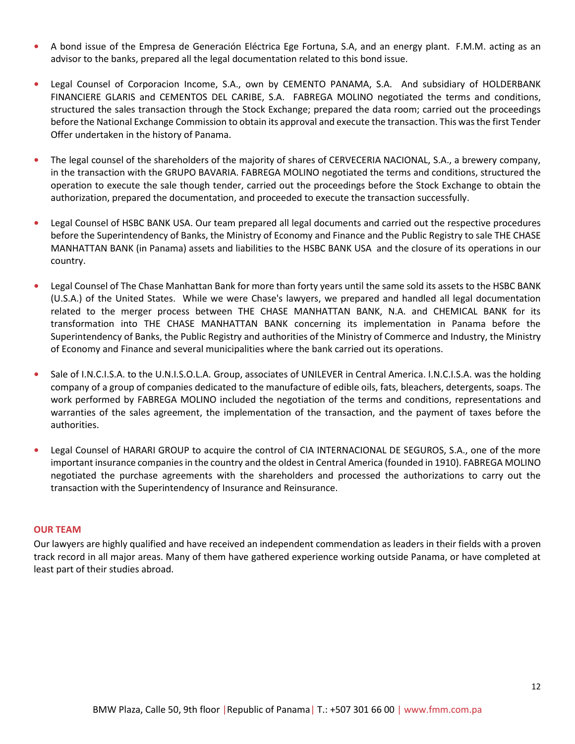- **•** A bond issue of the Empresa de Generación Eléctrica Ege Fortuna, S.A, and an energy plant. F.M.M. acting as an advisor to the banks, prepared all the legal documentation related to this bond issue.
- **•** Legal Counsel of Corporacion Income, S.A., own by CEMENTO PANAMA, S.A. And subsidiary of HOLDERBANK FINANCIERE GLARIS and CEMENTOS DEL CARIBE, S.A. FABREGA MOLINO negotiated the terms and conditions, structured the sales transaction through the Stock Exchange; prepared the data room; carried out the proceedings before the National Exchange Commission to obtain its approval and execute the transaction. This was the first Tender Offer undertaken in the history of Panama.
- **•** The legal counsel of the shareholders of the majority of shares of CERVECERIA NACIONAL, S.A., a brewery company, in the transaction with the GRUPO BAVARIA. FABREGA MOLINO negotiated the terms and conditions, structured the operation to execute the sale though tender, carried out the proceedings before the Stock Exchange to obtain the authorization, prepared the documentation, and proceeded to execute the transaction successfully.
- **•** Legal Counsel of HSBC BANK USA. Our team prepared all legal documents and carried out the respective procedures before the Superintendency of Banks, the Ministry of Economy and Finance and the Public Registry to sale THE CHASE MANHATTAN BANK (in Panama) assets and liabilities to the HSBC BANK USA and the closure of its operations in our country.
- **•** Legal Counsel of The Chase Manhattan Bank for more than forty years until the same sold its assets to the HSBC BANK (U.S.A.) of the United States. While we were Chase's lawyers, we prepared and handled all legal documentation related to the merger process between THE CHASE MANHATTAN BANK, N.A. and CHEMICAL BANK for its transformation into THE CHASE MANHATTAN BANK concerning its implementation in Panama before the Superintendency of Banks, the Public Registry and authorities of the Ministry of Commerce and Industry, the Ministry of Economy and Finance and several municipalities where the bank carried out its operations.
- **•** Sale of I.N.C.I.S.A. to the U.N.I.S.O.L.A. Group, associates of UNILEVER in Central America. I.N.C.I.S.A. was the holding company of a group of companies dedicated to the manufacture of edible oils, fats, bleachers, detergents, soaps. The work performed by FABREGA MOLINO included the negotiation of the terms and conditions, representations and warranties of the sales agreement, the implementation of the transaction, and the payment of taxes before the authorities.
- **•** Legal Counsel of HARARI GROUP to acquire the control of CIA INTERNACIONAL DE SEGUROS, S.A., one of the more important insurance companies in the country and the oldest in Central America (founded in 1910). FABREGA MOLINO negotiated the purchase agreements with the shareholders and processed the authorizations to carry out the transaction with the Superintendency of Insurance and Reinsurance.

### <span id="page-11-0"></span>**OUR TEAM**

Our lawyers are highly qualified and have received an independent commendation as leaders in their fields with a proven track record in all major areas. Many of them have gathered experience working outside Panama, or have completed at least part of their studies abroad.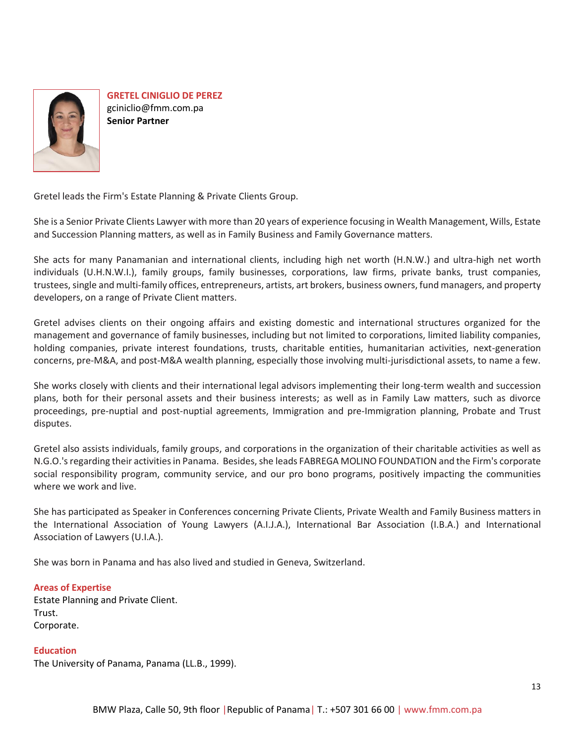

**GRETEL CINIGLIO DE PEREZ** gciniclio@fmm.com.pa **Senior Partner**

Gretel leads the Firm's Estate Planning & Private Clients Group.

She is a Senior Private Clients Lawyer with more than 20 years of experience focusing in Wealth Management, Wills, Estate and Succession Planning matters, as well as in Family Business and Family Governance matters.

She acts for many Panamanian and international clients, including high net worth (H.N.W.) and ultra-high net worth individuals (U.H.N.W.I.), family groups, family businesses, corporations, law firms, private banks, trust companies, trustees, single and multi-family offices, entrepreneurs, artists, art brokers, business owners, fund managers, and property developers, on a range of Private Client matters.

Gretel advises clients on their ongoing affairs and existing domestic and international structures organized for the management and governance of family businesses, including but not limited to corporations, limited liability companies, holding companies, private interest foundations, trusts, charitable entities, humanitarian activities, next-generation concerns, pre-M&A, and post-M&A wealth planning, especially those involving multi-jurisdictional assets, to name a few.

She works closely with clients and their international legal advisors implementing their long-term wealth and succession plans, both for their personal assets and their business interests; as well as in Family Law matters, such as divorce proceedings, pre-nuptial and post-nuptial agreements, Immigration and pre-Immigration planning, Probate and Trust disputes.

Gretel also assists individuals, family groups, and corporations in the organization of their charitable activities as well as N.G.O.'s regarding their activities in Panama. Besides, she leads FABREGA MOLINO FOUNDATION and the Firm's corporate social responsibility program, community service, and our pro bono programs, positively impacting the communities where we work and live.

She has participated as Speaker in Conferences concerning Private Clients, Private Wealth and Family Business matters in the International Association of Young Lawyers (A.I.J.A.), International Bar Association (I.B.A.) and International Association of Lawyers (U.I.A.).

She was born in Panama and has also lived and studied in Geneva, Switzerland.

# **Areas of Expertise**

Estate Planning and Private Client. Trust. Corporate.

### **Education**

The University of Panama, Panama (LL.B., 1999).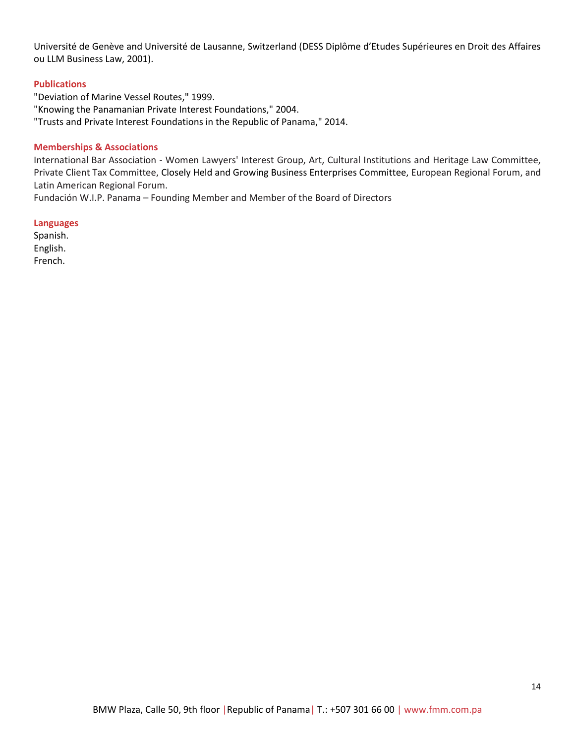Université de Genève and Université de Lausanne, Switzerland (DESS Diplôme d'Etudes Supérieures en Droit des Affaires ou LLM Business Law, 2001).

### **Publications**

"Deviation of Marine Vessel Routes," 1999. "Knowing the Panamanian Private Interest Foundations," 2004. "Trusts and Private Interest Foundations in the Republic of Panama," 2014.

### **Memberships & Associations**

International Bar Association - Women Lawyers' Interest Group, Art, Cultural Institutions and Heritage Law Committee, Private Client Tax Committee, Closely Held and Growing Business Enterprises Committee, European Regional Forum, and Latin American Regional Forum.

Fundación W.I.P. Panama – Founding Member and Member of the Board of Directors

### **Languages**

Spanish. English. French.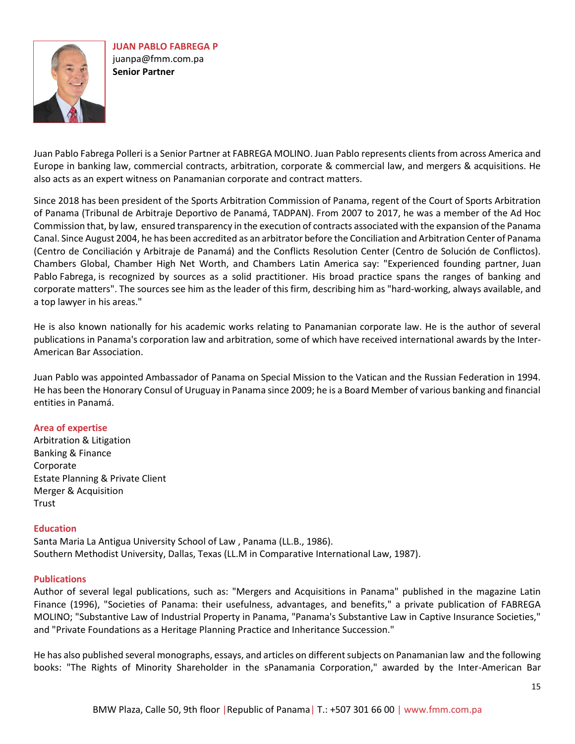

Juan Pablo Fabrega Polleri is a Senior Partner at FABREGA MOLINO. Juan Pablo represents clients from across America and Europe in banking law, commercial contracts, arbitration, corporate & commercial law, and mergers & acquisitions. He also acts as an expert witness on Panamanian corporate and contract matters.

Since 2018 has been president of the Sports Arbitration Commission of Panama, regent of the Court of Sports Arbitration of Panama (Tribunal de Arbitraje Deportivo de Panamá, TADPAN). From 2007 to 2017, he was a member of the Ad Hoc Commission that, by law, ensured transparency in the execution of contracts associated with the expansion of the Panama Canal. Since August 2004, he has been accredited as an arbitrator before the Conciliation and Arbitration Center of Panama (Centro de Conciliación y Arbitraje de Panamá) and the Conflicts Resolution Center (Centro de Solución de Conflictos). Chambers Global, Chamber High Net Worth, and Chambers Latin America say: "Experienced founding partner, Juan Pablo Fabrega, is recognized by sources as a solid practitioner. His broad practice spans the ranges of banking and corporate matters". The sources see him as the leader of this firm, describing him as "hard-working, always available, and a top lawyer in his areas."

He is also known nationally for his academic works relating to Panamanian corporate law. He is the author of several publications in Panama's corporation law and arbitration, some of which have received international awards by the Inter-American Bar Association.

Juan Pablo was appointed Ambassador of Panama on Special Mission to the Vatican and the Russian Federation in 1994. He has been the Honorary Consul of Uruguay in Panama since 2009; he is a Board Member of various banking and financial entities in Panamá.

### **Area of expertise**

Arbitration & Litigation Banking & Finance Corporate Estate Planning & Private Client Merger & Acquisition **Trust** 

### **Education**

Santa Maria La Antigua University School of Law , Panama (LL.B., 1986). Southern Methodist University, Dallas, Texas (LL.M in Comparative International Law, 1987).

### **Publications**

Author of several legal publications, such as: "Mergers and Acquisitions in Panama" published in the magazine Latin Finance (1996), "Societies of Panama: their usefulness, advantages, and benefits," a private publication of FABREGA MOLINO; "Substantive Law of Industrial Property in Panama, "Panama's Substantive Law in Captive Insurance Societies," and "Private Foundations as a Heritage Planning Practice and Inheritance Succession."

He has also published several monographs, essays, and articles on different subjects on Panamanian law and the following books: "The Rights of Minority Shareholder in the sPanamania Corporation," awarded by the Inter-American Bar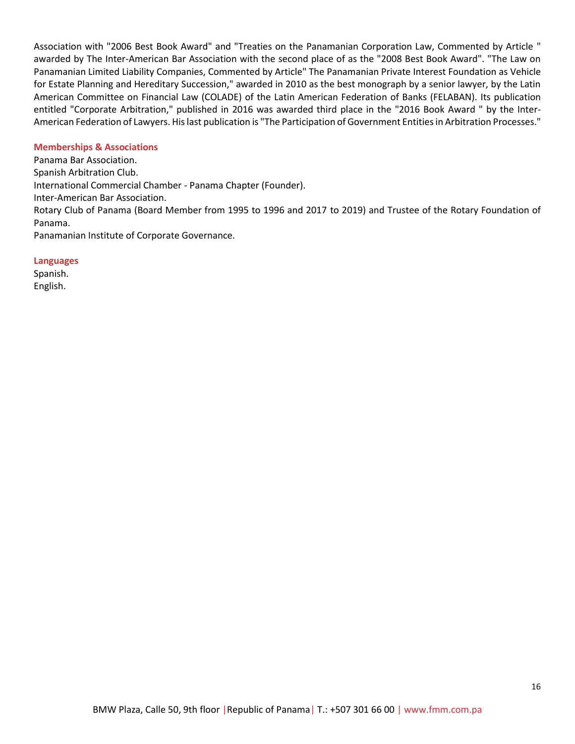Association with "2006 Best Book Award" and "Treaties on the Panamanian Corporation Law, Commented by Article " awarded by The Inter-American Bar Association with the second place of as the "2008 Best Book Award". "The Law on Panamanian Limited Liability Companies, Commented by Article" The Panamanian Private Interest Foundation as Vehicle for Estate Planning and Hereditary Succession," awarded in 2010 as the best monograph by a senior lawyer, by the Latin American Committee on Financial Law (COLADE) of the Latin American Federation of Banks (FELABAN). Its publication entitled "Corporate Arbitration," published in 2016 was awarded third place in the "2016 Book Award " by the Inter-American Federation of Lawyers. His last publication is "The Participation of Government Entities in Arbitration Processes."

### **Memberships & Associations**

Panama Bar Association. Spanish Arbitration Club. International Commercial Chamber - Panama Chapter (Founder). Inter-American Bar Association. Rotary Club of Panama (Board Member from 1995 to 1996 and 2017 to 2019) and Trustee of the Rotary Foundation of Panama. Panamanian Institute of Corporate Governance.

#### **Languages**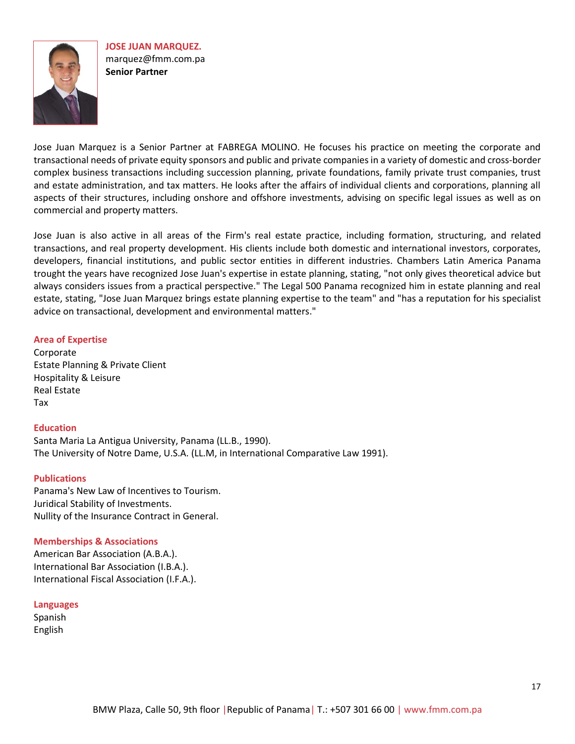**JOSE JUAN MARQUEZ.** [marquez@fmm.com.pa](mailto:marquez@fmm.com.pa) **Senior Partner**

Jose Juan Marquez is a Senior Partner at FABREGA MOLINO. He focuses his practice on meeting the corporate and transactional needs of private equity sponsors and public and private companies in a variety of domestic and cross-border complex business transactions including succession planning, private foundations, family private trust companies, trust and estate administration, and tax matters. He looks after the affairs of individual clients and corporations, planning all aspects of their structures, including onshore and offshore investments, advising on specific legal issues as well as on commercial and property matters.

Jose Juan is also active in all areas of the Firm's real estate practice, including formation, structuring, and related transactions, and real property development. His clients include both domestic and international investors, corporates, developers, financial institutions, and public sector entities in different industries. Chambers Latin America Panama trought the years have recognized Jose Juan's expertise in estate planning, stating, "not only gives theoretical advice but always considers issues from a practical perspective." The Legal 500 Panama recognized him in estate planning and real estate, stating, "Jose Juan Marquez brings estate planning expertise to the team" and "has a reputation for his specialist advice on transactional, development and environmental matters."

### **Area of Expertise**

Corporate [Estate Planning & Private Client](http://dev.webstudiopanama.com/fabrega/estate-planning-private-client/) Hospitality & Leisure [Real Estate](http://dev.webstudiopanama.com/fabrega/real-estate/) Tax

### **Education**

Santa Maria La Antigua University, Panama (LL.B., 1990). The University of Notre Dame, U.S.A. (LL.M, in International Comparative Law 1991).

### **Publications**

Panama's New Law of Incentives to Tourism. Juridical Stability of Investments. Nullity of the Insurance Contract in General.

### **Memberships & Associations**

American Bar Association (A.B.A.). International Bar Association (I.B.A.). International Fiscal Association (I.F.A.).

### **Languages**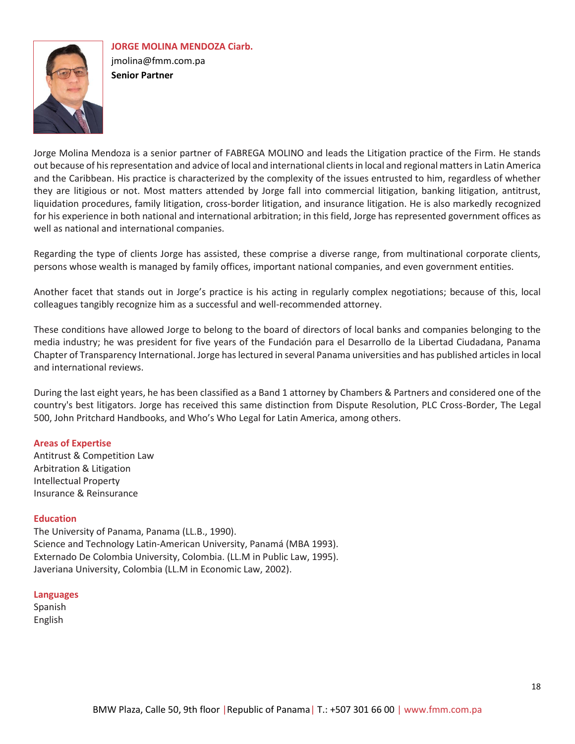

**JORGE MOLINA MENDOZA Ciarb.** jmolina@fmm.com.pa **Senior Partner** 

Jorge Molina Mendoza is a senior partner of FABREGA MOLINO and leads the Litigation practice of the Firm. He stands out because of his representation and advice of local and international clients in local and regional matters in Latin America and the Caribbean. His practice is characterized by the complexity of the issues entrusted to him, regardless of whether they are litigious or not. Most matters attended by Jorge fall into commercial litigation, banking litigation, antitrust, liquidation procedures, family litigation, cross-border litigation, and insurance litigation. He is also markedly recognized for his experience in both national and international arbitration; in this field, Jorge has represented government offices as well as national and international companies.

Regarding the type of clients Jorge has assisted, these comprise a diverse range, from multinational corporate clients, persons whose wealth is managed by family offices, important national companies, and even government entities.

Another facet that stands out in Jorge's practice is his acting in regularly complex negotiations; because of this, local colleagues tangibly recognize him as a successful and well-recommended attorney.

These conditions have allowed Jorge to belong to the board of directors of local banks and companies belonging to the media industry; he was president for five years of the Fundación para el Desarrollo de la Libertad Ciudadana, Panama Chapter of Transparency International. Jorge has lectured in several Panama universities and has published articles in local and international reviews.

During the last eight years, he has been classified as a Band 1 attorney by Chambers & Partners and considered one of the country's best litigators. Jorge has received this same distinction from Dispute Resolution, PLC Cross-Border, The Legal 500, John Pritchard Handbooks, and Who's Who Legal for Latin America, among others.

# **Areas of Expertise**

Antitrust & Competition Law Arbitration & Litigation Intellectual Property Insurance & Reinsurance

### **Education**

The University of Panama, Panama (LL.B., 1990). Science and Technology Latin-American University, Panamá (MBA 1993). Externado De Colombia University, Colombia. (LL.M in Public Law, 1995). Javeriana University, Colombia (LL.M in Economic Law, 2002).

### **Languages**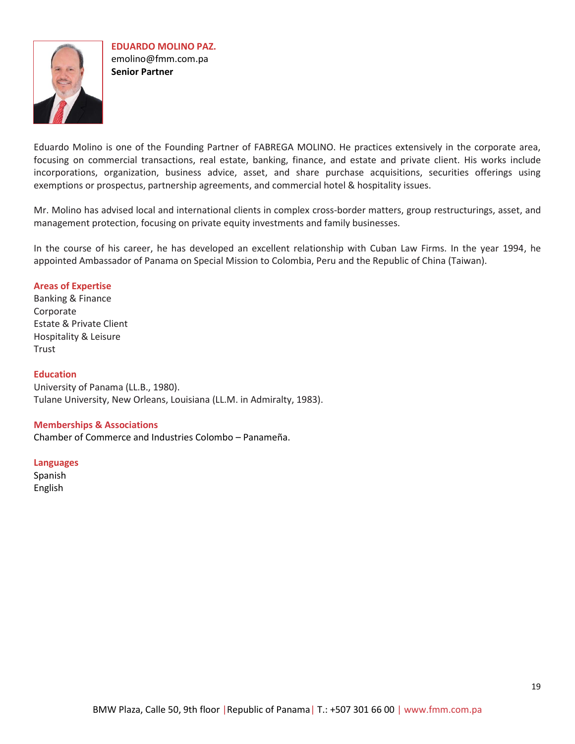

Eduardo Molino is one of the Founding Partner of FABREGA MOLINO. He practices extensively in the corporate area, focusing on commercial transactions, real estate, banking, finance, and estate and private client. His works include incorporations, organization, business advice, asset, and share purchase acquisitions, securities offerings using exemptions or prospectus, partnership agreements, and commercial hotel & hospitality issues.

Mr. Molino has advised local and international clients in complex cross-border matters, group restructurings, asset, and management protection, focusing on private equity investments and family businesses.

In the course of his career, he has developed an excellent relationship with Cuban Law Firms. In the year 1994, he appointed Ambassador of Panama on Special Mission to Colombia, Peru and the Republic of China (Taiwan).

# **Areas of Expertise**

[Banking & Finance](http://dev.webstudiopanama.com/fabrega/banking-finance/) [Corporate](http://dev.webstudiopanama.com/fabrega/business-companies/) Estate & Private Client [Hospitality](http://dev.webstudiopanama.com/fabrega/hotel-resorts-and-tourism/) & Leisure **[Trust](http://dev.webstudiopanama.com/fabrega/real-estate/)** 

### **Education**

University of Panama (LL.B., 1980). Tulane University, New Orleans, Louisiana (LL.M. in Admiralty, 1983).

#### **Memberships & Associations**

Chamber of Commerce and Industries Colombo – Panameña.

#### **Languages**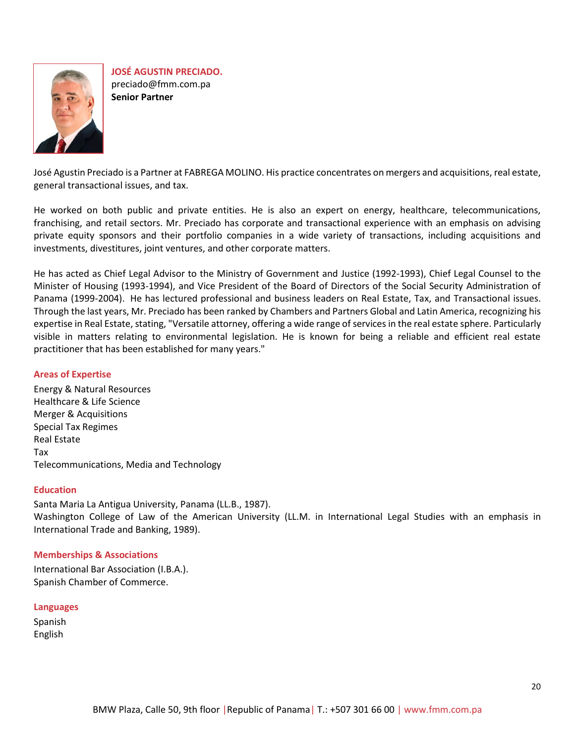

**JOSÉ AGUSTIN PRECIADO.** preciado@fmm.com.pa **Senior Partner** 

José Agustin Preciado is a Partner at FABREGA MOLINO. His practice concentrates on mergers and acquisitions, real estate, general transactional issues, and tax.

He worked on both public and private entities. He is also an expert on energy, healthcare, telecommunications, franchising, and retail sectors. Mr. Preciado has corporate and transactional experience with an emphasis on advising private equity sponsors and their portfolio companies in a wide variety of transactions, including acquisitions and investments, divestitures, joint ventures, and other corporate matters.

He has acted as Chief Legal Advisor to the Ministry of Government and Justice (1992-1993), Chief Legal Counsel to the Minister of Housing (1993-1994), and Vice President of the Board of Directors of the Social Security Administration of Panama (1999-2004). He has lectured professional and business leaders on Real Estate, Tax, and Transactional issues. Through the last years, Mr. Preciado has been ranked by Chambers and Partners Global and Latin America, recognizing his expertise in Real Estate, stating, "Versatile attorney, offering a wide range of services in the real estate sphere. Particularly visible in matters relating to environmental legislation. He is known for being a reliable and efficient real estate practitioner that has been established for many years."

# **Areas of Expertise**

[Energy & Natural Resources](http://dev.webstudiopanama.com/fabrega/energy-natural-resources/) Healthcare & Life Science [Merger & Acquisitions](http://dev.webstudiopanama.com/fabrega/jose-agustin-preciado/)  Special Tax Regimes [Real Estate](http://dev.webstudiopanama.com/fabrega/real-estate/) Tax [Telecommunications, Media and Technology](http://dev.webstudiopanama.com/fabrega/telecommunications-media-technology/)

### **Education**

Santa Maria La Antigua University, Panama (LL.B., 1987). Washington College of Law of the American University (LL.M. in International Legal Studies with an emphasis in International Trade and Banking, 1989).

### **Memberships & Associations**

International Bar Association (I.B.A.). Spanish Chamber of Commerce.

### **Languages**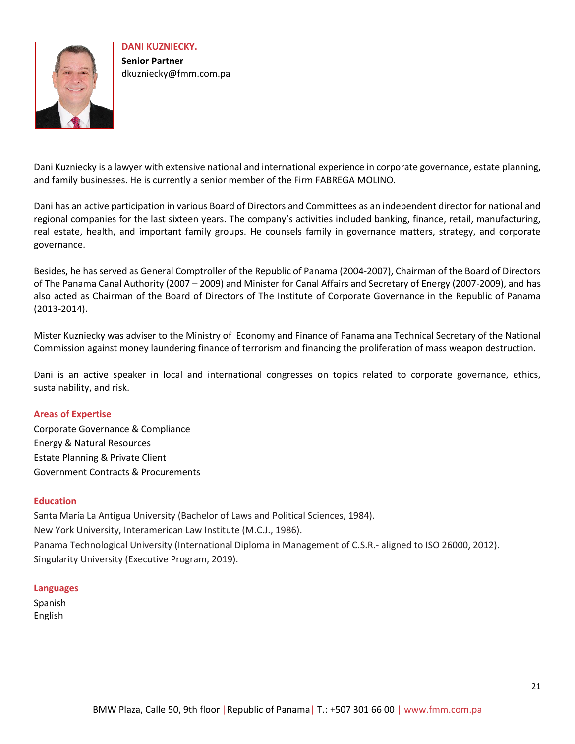

**DANI KUZNIECKY. Senior Partner**  [dkuzniecky@fmm.com.pa](mailto:dkuzniecky@fmm.com.pa)

Dani Kuzniecky is a lawyer with extensive national and international experience in corporate governance, estate planning, and family businesses. He is currently a senior member of the Firm FABREGA MOLINO.

Dani has an active participation in various Board of Directors and Committees as an independent director for national and regional companies for the last sixteen years. The company's activities included banking, finance, retail, manufacturing, real estate, health, and important family groups. He counsels family in governance matters, strategy, and corporate governance.

Besides, he has served as General Comptroller of the Republic of Panama (2004-2007), Chairman of the Board of Directors of The Panama Canal Authority (2007 – 2009) and Minister for Canal Affairs and Secretary of Energy (2007-2009), and has also acted as Chairman of the Board of Directors of The Institute of Corporate Governance in the Republic of Panama (2013-2014).

Mister Kuzniecky was adviser to the Ministry of Economy and Finance of Panama ana Technical Secretary of the National Commission against money laundering finance of terrorism and financing the proliferation of mass weapon destruction.

Dani is an active speaker in local and international congresses on topics related to corporate governance, ethics, sustainability, and risk.

# **Areas of Expertise**

Corporate Governance & Compliance Energy & Natural Resources Estate Planning & Private Client Government Contracts & Procurements

# **Education**

Santa María La Antigua University (Bachelor of Laws and Political Sciences, 1984). New York University, Interamerican Law Institute (M.C.J., 1986). Panama Technological University (International Diploma in Management of C.S.R.- aligned to ISO 26000, 2012). Singularity University (Executive Program, 2019).

### **Languages**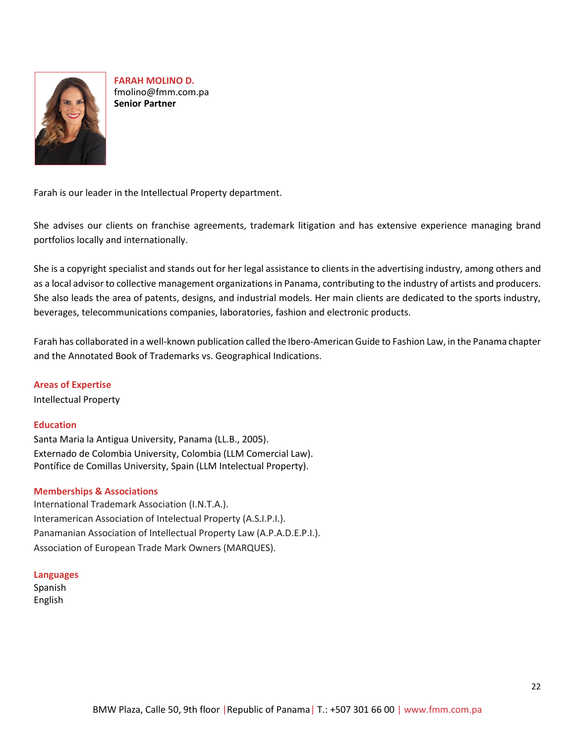

**FARAH MOLINO D.** [fmolino@fmm.com.pa](mailto:fmolino@fmm.com.pa) **Senior Partner**

Farah is our leader in the Intellectual Property department.

She advises our clients on franchise agreements, trademark litigation and has extensive experience managing brand portfolios locally and internationally.

She is a copyright specialist and stands out for her legal assistance to clients in the advertising industry, among others and as a local advisor to collective management organizations in Panama, contributing to the industry of artists and producers. She also leads the area of patents, designs, and industrial models. Her main clients are dedicated to the sports industry, beverages, telecommunications companies, laboratories, fashion and electronic products.

Farah has collaborated in a well-known publication called the Ibero-American Guide to Fashion Law, in the Panama chapter and the Annotated Book of Trademarks vs. Geographical Indications.

# **Areas of Expertise**

Intellectual Property

# **Education**

Santa Maria la Antigua University, Panama (LL.B., 2005). Externado de Colombia University, Colombia (LLM Comercial Law). Pontífice de Comillas University, Spain (LLM Intelectual Property).

### **Memberships & Associations**

International Trademark Association (I.N.T.A.). Interamerican Association of Intelectual Property (A.S.I.P.I.). Panamanian Association of Intellectual Property Law (A.P.A.D.E.P.I.). Association of European Trade Mark Owners (MARQUES).

### **Languages**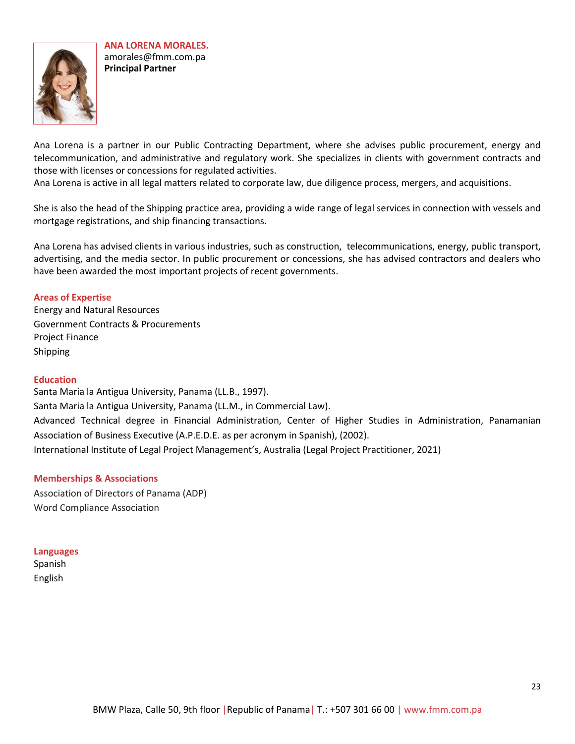

**ANA LORENA MORALES.** amorales@fmm.com.pa **Principal Partner**

Ana Lorena is a partner in our Public Contracting Department, where she advises public procurement, energy and telecommunication, and administrative and regulatory work. She specializes in clients with government contracts and those with licenses or concessions for regulated activities.

Ana Lorena is active in all legal matters related to corporate law, due diligence process, mergers, and acquisitions.

She is also the head of the Shipping practice area, providing a wide range of legal services in connection with vessels and mortgage registrations, and ship financing transactions.

Ana Lorena has advised clients in various industries, such as construction, telecommunications, energy, public transport, advertising, and the media sector. In public procurement or concessions, she has advised contractors and dealers who have been awarded the most important projects of recent governments.

**Areas of Expertise** Energy and Natural Resources Government Contracts & Procurements Project Finance Shipping

### **Education**

Santa Maria la Antigua University, Panama (LL.B., 1997). Santa Maria la Antigua University, Panama (LL.M., in Commercial Law). Advanced Technical degree in Financial Administration, Center of Higher Studies in Administration, Panamanian Association of Business Executive (A.P.E.D.E. as per acronym in Spanish), (2002). International Institute of Legal Project Management's, Australia (Legal Project Practitioner, 2021)

#### **Memberships & Associations**

Association of Directors of Panama (ADP) Word Compliance Association

#### **Languages**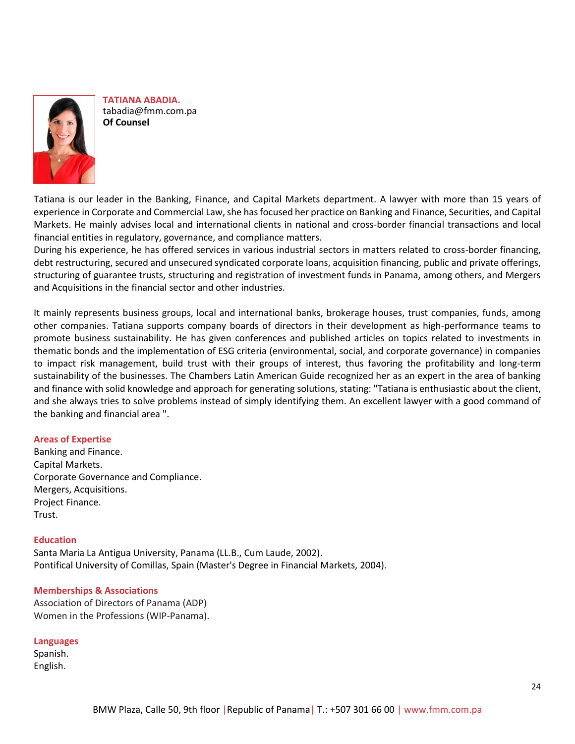

**TATIANA ABADIA.** tabadia@fmm.com.pa **Of Counsel**

Tatiana is our leader in the Banking, Finance, and Capital Markets department. A lawyer with more than 15 years of experience in Corporate and Commercial Law, she has focused her practice on Banking and Finance, Securities, and Capital Markets. He mainly advises local and international clients in national and cross-border financial transactions and local financial entities in regulatory, governance, and compliance matters.

During his experience, he has offered services in various industrial sectors in matters related to cross-border financing, debt restructuring, secured and unsecured syndicated corporate loans, acquisition financing, public and private offerings, structuring of guarantee trusts, structuring and registration of investment funds in Panama, among others, and Mergers and Acquisitions in the financial sector and other industries.

It mainly represents business groups, local and international banks, brokerage houses, trust companies, funds, among other companies. Tatiana supports company boards of directors in their development as high-performance teams to promote business sustainability. He has given conferences and published articles on topics related to investments in thematic bonds and the implementation of ESG criteria (environmental, social, and corporate governance) in companies to impact risk management, build trust with their groups of interest, thus favoring the profitability and long-term sustainability of the businesses. The Chambers Latin American Guide recognized her as an expert in the area of banking and finance with solid knowledge and approach for generating solutions, stating: "Tatiana is enthusiastic about the client, and she always tries to solve problems instead of simply identifying them. An excellent lawyer with a good command of the banking and financial area ".

# **Areas of Expertise**

Banking and Finance. Capital Markets. Corporate Governance and Compliance. Mergers, Acquisitions. Project Finance. Trust.

### **Education**

Santa Maria La Antigua University, Panama (LL.B., Cum Laude, 2002). Pontifical University of Comillas, Spain (Master's Degree in Financial Markets, 2004).

### **Memberships & Associations**

Association of Directors of Panama (ADP) Women in the Professions (WIP-Panama).

### **Languages**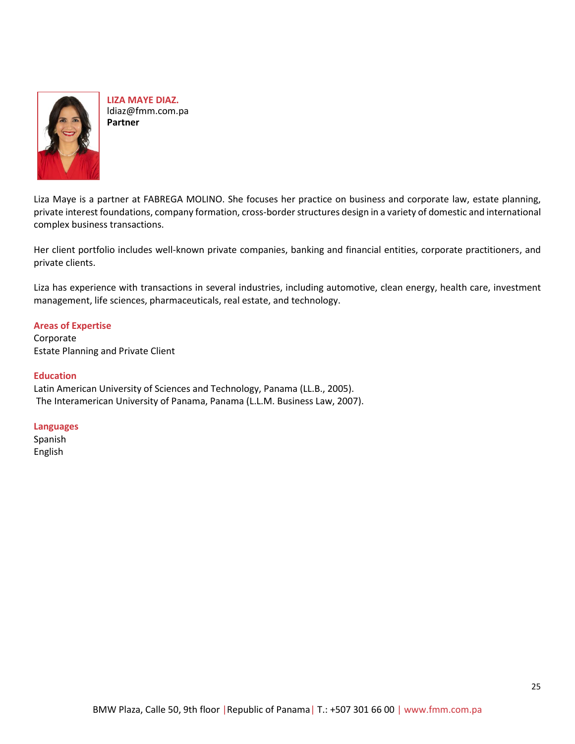

**LIZA MAYE DIAZ.** ldiaz@fmm.com.pa **Partner**

Liza Maye is a partner at FABREGA MOLINO. She focuses her practice on business and corporate law, estate planning, private interest foundations, company formation, cross-border structures design in a variety of domestic and international complex business transactions.

Her client portfolio includes well-known private companies, banking and financial entities, corporate practitioners, and private clients.

Liza has experience with transactions in several industries, including automotive, clean energy, health care, investment management, life sciences, pharmaceuticals, real estate, and technology.

### **Areas of Expertise**

Corporate Estate Planning and Private Client

### **Education**

Latin American University of Sciences and Technology, Panama (LL.B., 2005). The Interamerican University of Panama, Panama (L.L.M. Business Law, 2007).

### **Languages**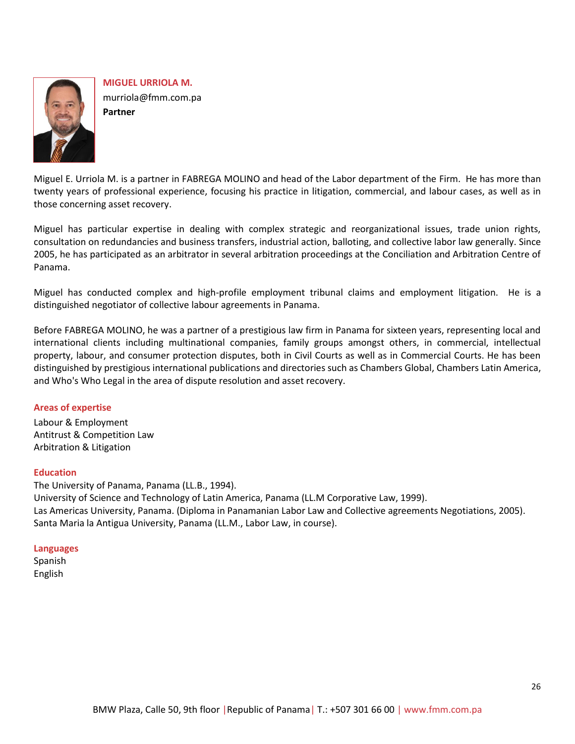

**MIGUEL URRIOLA M.** murriola@fmm.com.pa **Partner**

Miguel E. Urriola M. is a partner in FABREGA MOLINO and head of the Labor department of the Firm. He has more than twenty years of professional experience, focusing his practice in litigation, commercial, and labour cases, as well as in those concerning asset recovery.

Miguel has particular expertise in dealing with complex strategic and reorganizational issues, trade union rights, consultation on redundancies and business transfers, industrial action, balloting, and collective labor law generally. Since 2005, he has participated as an arbitrator in several arbitration proceedings at the Conciliation and Arbitration Centre of Panama.

Miguel has conducted complex and high-profile employment tribunal claims and employment litigation. He is a distinguished negotiator of collective labour agreements in Panama.

Before FABREGA MOLINO, he was a partner of a prestigious law firm in Panama for sixteen years, representing local and international clients including multinational companies, family groups amongst others, in commercial, intellectual property, labour, and consumer protection disputes, both in Civil Courts as well as in Commercial Courts. He has been distinguished by prestigious international publications and directories such as Chambers Global, Chambers Latin America, and Who's Who Legal in the area of dispute resolution and asset recovery.

# **Areas of expertise**

Labour & Employment Antitrust & Competition Law Arbitration & Litigation

### **Education**

The University of Panama, Panama (LL.B., 1994). University of Science and Technology of Latin America, Panama (LL.M Corporative Law, 1999). Las Americas University, Panama. (Diploma in Panamanian Labor Law and Collective agreements Negotiations, 2005). Santa Maria la Antigua University, Panama (LL.M., Labor Law, in course).

### **Languages**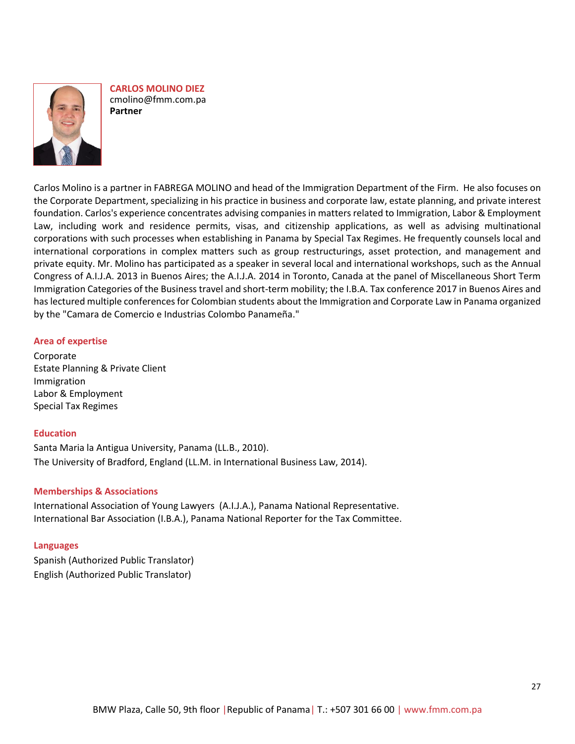

**CARLOS MOLINO DIEZ** cmolino@fmm.com.pa **Partner**

Carlos Molino is a partner in FABREGA MOLINO and head of the Immigration Department of the Firm. He also focuses on the Corporate Department, specializing in his practice in business and corporate law, estate planning, and private interest foundation. Carlos's experience concentrates advising companies in matters related to Immigration, Labor & Employment Law, including work and residence permits, visas, and citizenship applications, as well as advising multinational corporations with such processes when establishing in Panama by Special Tax Regimes. He frequently counsels local and international corporations in complex matters such as group restructurings, asset protection, and management and private equity. Mr. Molino has participated as a speaker in several local and international workshops, such as the Annual Congress of A.I.J.A. 2013 in Buenos Aires; the A.I.J.A. 2014 in Toronto, Canada at the panel of Miscellaneous Short Term Immigration Categories of the Business travel and short-term mobility; the I.B.A. Tax conference 2017 in Buenos Aires and has lectured multiple conferences for Colombian students about the Immigration and Corporate Law in Panama organized by the "Camara de Comercio e Industrias Colombo Panameña."

### **Area of expertise**

Corporate Estate Planning & Private Client Immigration Labor & Employment Special Tax Regimes

### **Education**

Santa Maria la Antigua University, Panama (LL.B., 2010). The University of Bradford, England (LL.M. in International Business Law, 2014).

### **Memberships & Associations**

International Association of Young Lawyers (A.I.J.A.), Panama National Representative. International Bar Association (I.B.A.), Panama National Reporter for the Tax Committee.

### **Languages**

Spanish (Authorized Public Translator) English (Authorized Public Translator)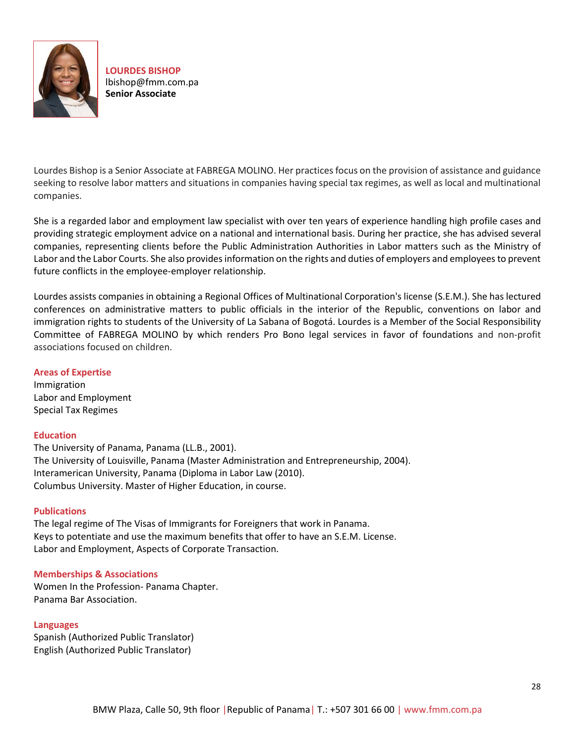

**LOURDES BISHOP** lbishop@fmm.com.pa **Senior Associate** 

Lourdes Bishop is a Senior Associate at FABREGA MOLINO. Her practices focus on the provision of assistance and guidance seeking to resolve labor matters and situations in companies having special tax regimes, as well as local and multinational companies.

She is a regarded labor and employment law specialist with over ten years of experience handling high profile cases and providing strategic employment advice on a national and international basis. During her practice, she has advised several companies, representing clients before the Public Administration Authorities in Labor matters such as the Ministry of Labor and the Labor Courts. She also provides information on the rights and duties of employers and employees to prevent future conflicts in the employee-employer relationship.

Lourdes assists companies in obtaining a Regional Offices of Multinational Corporation's license (S.E.M.). She has lectured conferences on administrative matters to public officials in the interior of the Republic, conventions on labor and immigration rights to students of the University of La Sabana of Bogotá. Lourdes is a Member of the Social Responsibility Committee of FABREGA MOLINO by which renders Pro Bono legal services in favor of foundations and non-profit associations focused on children.

# **Areas of Expertise**

Immigration Labor and Employment Special Tax Regimes

### **Education**

The University of Panama, Panama (LL.B., 2001). The University of Louisville, Panama (Master Administration and Entrepreneurship, 2004). Interamerican University, Panama (Diploma in Labor Law (2010). Columbus University. Master of Higher Education, in course.

# **Publications**

The legal regime of The Visas of Immigrants for Foreigners that work in Panama. Keys to potentiate and use the maximum benefits that offer to have an S.E.M. License. Labor and Employment, Aspects of Corporate Transaction.

### **Memberships & Associations**

Women In the Profession- Panama Chapter. Panama Bar Association.

# **Languages**

Spanish (Authorized Public Translator) English (Authorized Public Translator)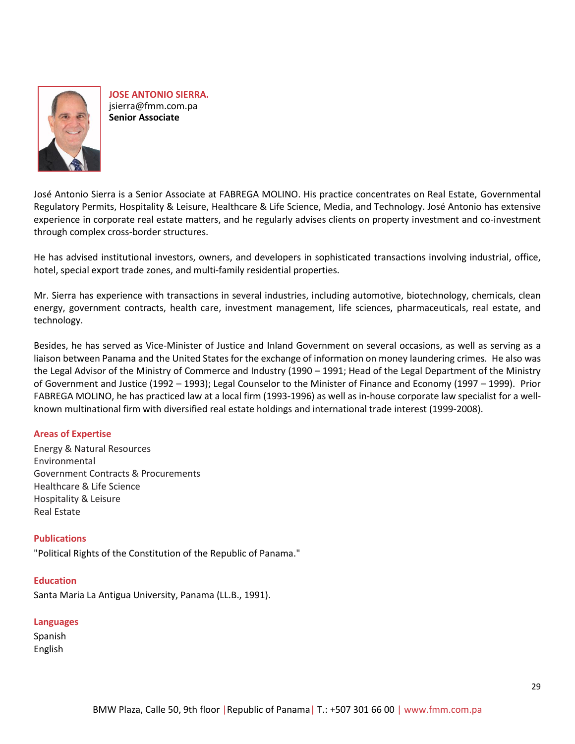

**JOSE ANTONIO SIERRA.** jsierra@fmm.com.pa **Senior Associate**

José Antonio Sierra is a Senior Associate at FABREGA MOLINO. His practice concentrates on Real Estate, Governmental Regulatory Permits, Hospitality & Leisure, Healthcare & Life Science, Media, and Technology. José Antonio has extensive experience in corporate real estate matters, and he regularly advises clients on property investment and co-investment through complex cross-border structures.

He has advised institutional investors, owners, and developers in sophisticated transactions involving industrial, office, hotel, special export trade zones, and multi-family residential properties.

Mr. Sierra has experience with transactions in several industries, including automotive, biotechnology, chemicals, clean energy, government contracts, health care, investment management, life sciences, pharmaceuticals, real estate, and technology.

Besides, he has served as Vice-Minister of Justice and Inland Government on several occasions, as well as serving as a liaison between Panama and the United States for the exchange of information on money laundering crimes. He also was the Legal Advisor of the Ministry of Commerce and Industry (1990 – 1991; Head of the Legal Department of the Ministry of Government and Justice (1992 – 1993); Legal Counselor to the Minister of Finance and Economy (1997 – 1999). Prior FABREGA MOLINO, he has practiced law at a local firm (1993-1996) as well as in-house corporate law specialist for a wellknown multinational firm with diversified real estate holdings and international trade interest (1999-2008).

# **Areas of Expertise**

[Energy & Natural Resources](http://dev.webstudiopanama.com/fabrega/energy-natural-resources/) Environmental Government Contracts & Procurements Healthcare & Life Science Hospitality & Leisure Real Estate

# **Publications**

"Political Rights of the Constitution of the Republic of Panama."

### **Education**

Santa Maria La Antigua University, Panama (LL.B., 1991).

### **Languages**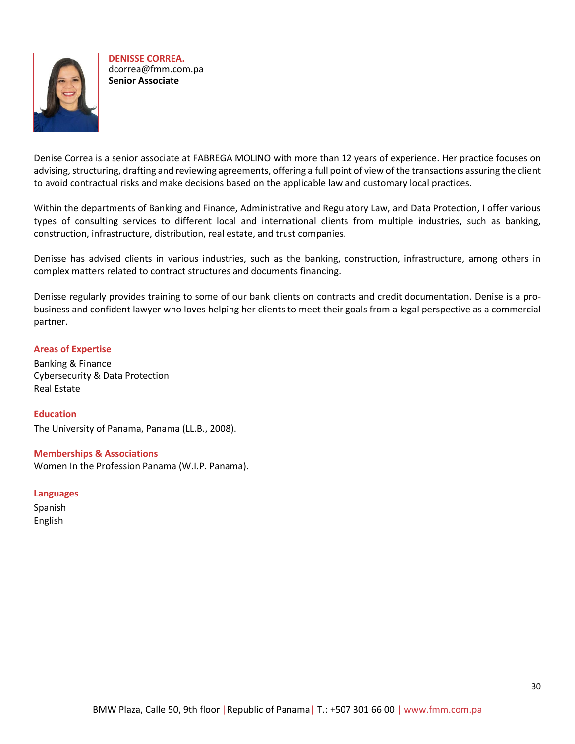

**DENISSE CORREA.**  dcorrea@fmm.com.pa **Senior Associate**

Denise Correa is a senior associate at FABREGA MOLINO with more than 12 years of experience. Her practice focuses on advising, structuring, drafting and reviewing agreements, offering a full point of view of the transactions assuring the client to avoid contractual risks and make decisions based on the applicable law and customary local practices.

Within the departments of Banking and Finance, Administrative and Regulatory Law, and Data Protection, I offer various types of consulting services to different local and international clients from multiple industries, such as banking, construction, infrastructure, distribution, real estate, and trust companies.

Denisse has advised clients in various industries, such as the banking, construction, infrastructure, among others in complex matters related to contract structures and documents financing.

Denisse regularly provides training to some of our bank clients on contracts and credit documentation. Denise is a probusiness and confident lawyer who loves helping her clients to meet their goals from a legal perspective as a commercial partner.

# **Areas of Expertise**

Banking & Finance Cybersecurity & Data Protection Real Estate

# **Education**

The University of Panama, Panama (LL.B., 2008).

**Memberships & Associations** Women In the Profession Panama (W.I.P. Panama).

### **Languages**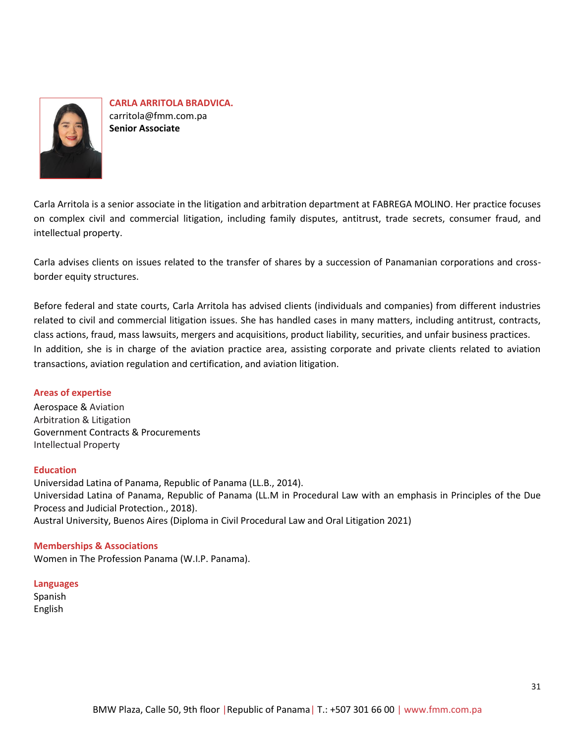

**CARLA ARRITOLA BRADVICA.** [carritola@fmm.com.pa](mailto:carritola@fmm.com.pa) **Senior Associate**

Carla Arritola is a senior associate in the litigation and arbitration department at FABREGA MOLINO. Her practice focuses on complex civil and commercial litigation, including family disputes, antitrust, trade secrets, consumer fraud, and intellectual property.

Carla advises clients on issues related to the transfer of shares by a succession of Panamanian corporations and crossborder equity structures.

Before federal and state courts, Carla Arritola has advised clients (individuals and companies) from different industries related to civil and commercial litigation issues. She has handled cases in many matters, including antitrust, contracts, class actions, fraud, mass lawsuits, mergers and acquisitions, product liability, securities, and unfair business practices. In addition, she is in charge of the aviation practice area, assisting corporate and private clients related to aviation transactions, aviation regulation and certification, and aviation litigation.

# **Areas of expertise**

Aerospace [& Aviation](http://dev.webstudiopanama.com/fabrega/aviation/) [Arbitration & Litigation](http://dev.webstudiopanama.com/fabrega/arbitration-litigation/) Government Contracts & Procurements Intellectual Property

### **Education**

Universidad Latina of Panama, Republic of Panama (LL.B., 2014). Universidad Latina of Panama, Republic of Panama (LL.M in Procedural Law with an emphasis in Principles of the Due Process and Judicial Protection., 2018). Austral University, Buenos Aires (Diploma in Civil Procedural Law and Oral Litigation 2021)

### **Memberships & Associations**

Women in The Profession Panama (W.I.P. Panama).

#### **Languages** Spanish

English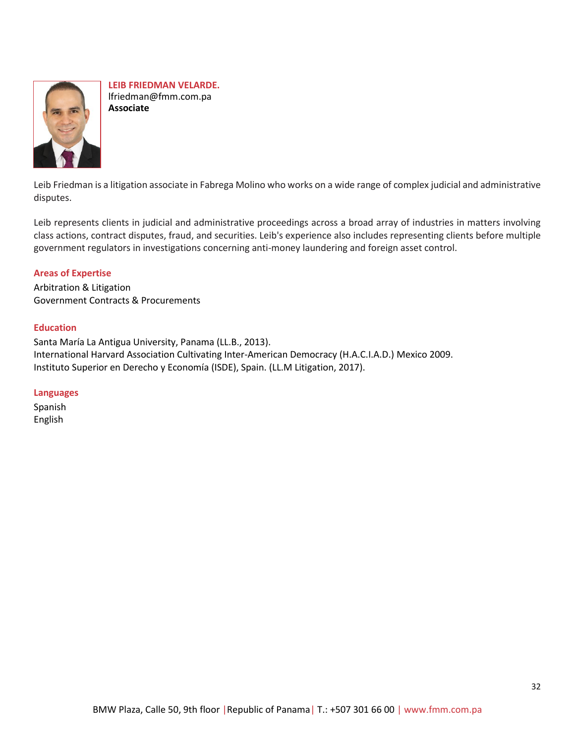

**LEIB FRIEDMAN VELARDE.** lfriedman@fmm.com.pa **Associate**

Leib Friedman is a litigation associate in Fabrega Molino who works on a wide range of complex judicial and administrative disputes.

Leib represents clients in judicial and administrative proceedings across a broad array of industries in matters involving class actions, contract disputes, fraud, and securities. Leib's experience also includes representing clients before multiple government regulators in investigations concerning anti-money laundering and foreign asset control.

# **Areas of Expertise**

Arbitration & Litigation Government Contracts & Procurements

### **Education**

Santa María La Antigua University, Panama (LL.B., 2013). International Harvard Association Cultivating Inter-American Democracy (H.A.C.I.A.D.) Mexico 2009. Instituto Superior en Derecho y Economía (ISDE), Spain. (LL.M Litigation, 2017).

### **Languages**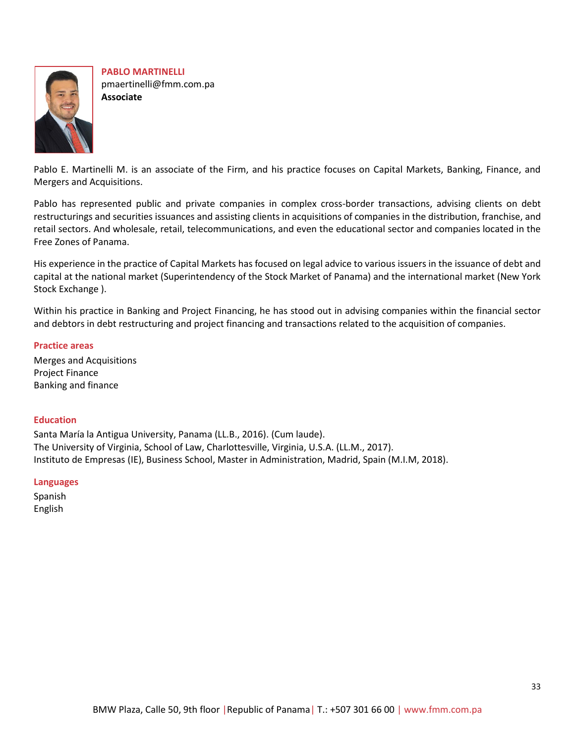

**PABLO MARTINELLI** pmaertinelli@fmm.com.pa **Associate**

Pablo E. Martinelli M. is an associate of the Firm, and his practice focuses on Capital Markets, Banking, Finance, and Mergers and Acquisitions.

Pablo has represented public and private companies in complex cross-border transactions, advising clients on debt restructurings and securities issuances and assisting clients in acquisitions of companies in the distribution, franchise, and retail sectors. And wholesale, retail, telecommunications, and even the educational sector and companies located in the Free Zones of Panama.

His experience in the practice of Capital Markets has focused on legal advice to various issuers in the issuance of debt and capital at the national market (Superintendency of the Stock Market of Panama) and the international market (New York Stock Exchange ).

Within his practice in Banking and Project Financing, he has stood out in advising companies within the financial sector and debtors in debt restructuring and project financing and transactions related to the acquisition of companies.

# **Practice areas**

Merges and Acquisitions Project Finance Banking and finance

# **Education**

Santa María la Antigua University, Panama (LL.B., 2016). (Cum laude). The University of Virginia, School of Law, Charlottesville, Virginia, U.S.A. (LL.M., 2017). Instituto de Empresas (IE), Business School, Master in Administration, Madrid, Spain (M.I.M, 2018).

# **Languages**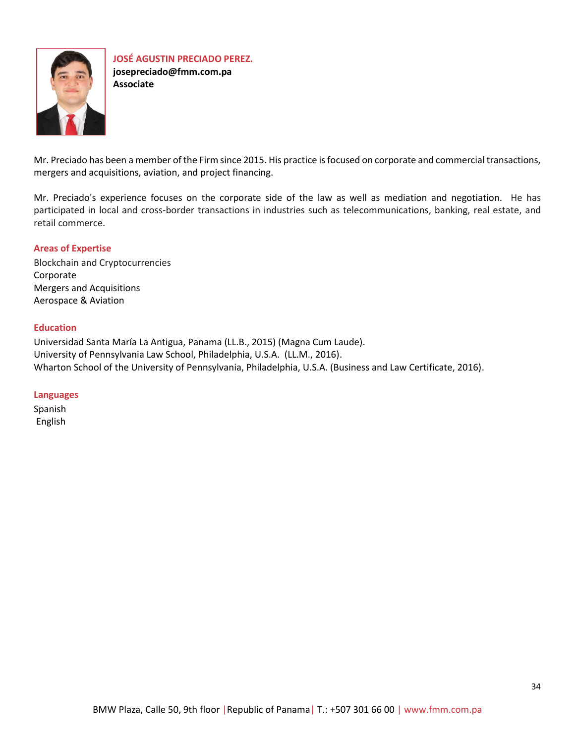

**JOSÉ AGUSTIN PRECIADO PEREZ. josepreciado@fmm.com.pa Associate**

Mr. Preciado has been a member of the Firm since 2015. His practice is focused on corporate and commercial transactions, mergers and acquisitions, aviation, and project financing.

Mr. Preciado's experience focuses on the corporate side of the law as well as mediation and negotiation. He has participated in local and cross-border transactions in industries such as telecommunications, banking, real estate, and retail commerce.

# **Areas of Expertise**

[Blockchain and Cryptocurrencies](https://fmm.com.pa/blockchain-and-cryptocurrencies/) Corporate Mergers and Acquisitions Aerospace & Aviation

### **Education**

Universidad Santa María La Antigua, Panama (LL.B., 2015) (Magna Cum Laude). University of Pennsylvania Law School, Philadelphia, U.S.A. (LL.M., 2016). Wharton School of the University of Pennsylvania, Philadelphia, U.S.A. (Business and Law Certificate, 2016).

### **Languages**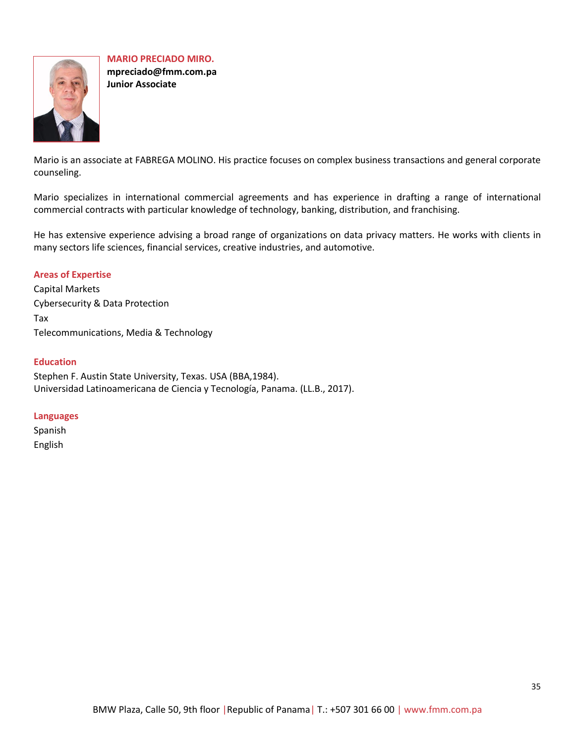<span id="page-34-0"></span>

**MARIO PRECIADO MIRO. mpreciado@fmm.com.pa Junior Associate**

Mario is an associate at FABREGA MOLINO. His practice focuses on complex business transactions and general corporate counseling.

Mario specializes in international commercial agreements and has experience in drafting a range of international commercial contracts with particular knowledge of technology, banking, distribution, and franchising.

He has extensive experience advising a broad range of organizations on data privacy matters. He works with clients in many sectors life sciences, financial services, creative industries, and automotive.

### **Areas of Expertise**

Capital Markets Cybersecurity & Data Protection Tax Telecommunications, Media & Technology

# **Education**

Stephen F. Austin State University, Texas. USA (BBA,1984). Universidad Latinoamericana de Ciencia y Tecnología, Panama. (LL.B., 2017).

### **Languages**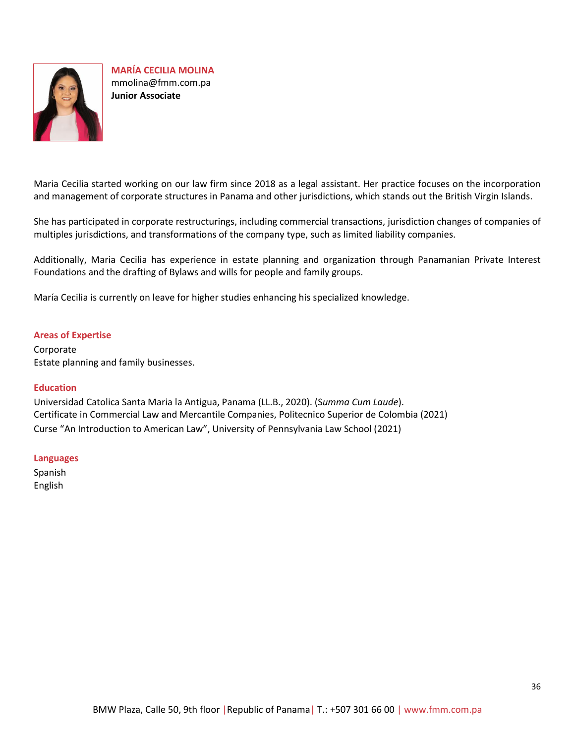

**MARÍA CECILIA MOLINA** mmolina@fmm.com.pa **Junior Associate**

Maria Cecilia started working on our law firm since 2018 as a legal assistant. Her practice focuses on the incorporation and management of corporate structures in Panama and other jurisdictions, which stands out the British Virgin Islands.

She has participated in corporate restructurings, including commercial transactions, jurisdiction changes of companies of multiples jurisdictions, and transformations of the company type, such as limited liability companies.

Additionally, Maria Cecilia has experience in estate planning and organization through Panamanian Private Interest Foundations and the drafting of Bylaws and wills for people and family groups.

María Cecilia is currently on leave for higher studies enhancing his specialized knowledge.

### **Areas of Expertise**

Corporate Estate planning and family businesses.

### **Education**

Universidad Catolica Santa Maria la Antigua, Panama (LL.B., 2020). (S*umma Cum Laude*). Certificate in Commercial Law and Mercantile Companies, Politecnico Superior de Colombia (2021) Curse "An Introduction to American Law", University of Pennsylvania Law School (2021)

### **Languages**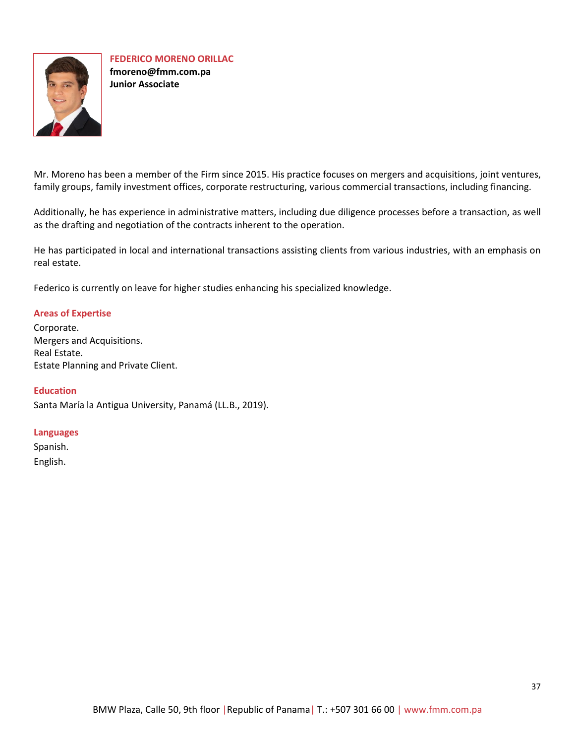

**FEDERICO MORENO ORILLAC fmoreno@fmm.com.pa Junior Associate**

Mr. Moreno has been a member of the Firm since 2015. His practice focuses on mergers and acquisitions, joint ventures, family groups, family investment offices, corporate restructuring, various commercial transactions, including financing.

Additionally, he has experience in administrative matters, including due diligence processes before a transaction, as well as the drafting and negotiation of the contracts inherent to the operation.

He has participated in local and international transactions assisting clients from various industries, with an emphasis on real estate.

Federico is currently on leave for higher studies enhancing his specialized knowledge.

# **Areas of Expertise**

Corporate. Mergers and Acquisitions. Real Estate. Estate Planning and Private Client.

# **Education**

Santa María la Antigua University, Panamá (LL.B., 2019).

# **Languages**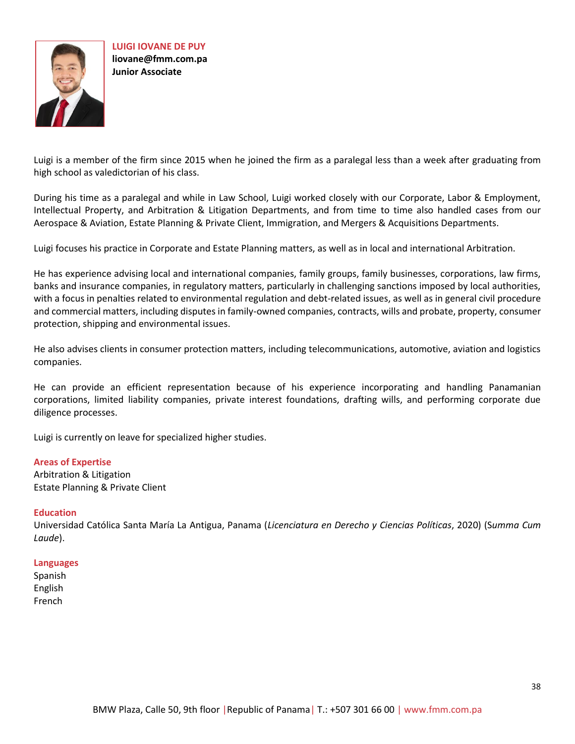

**LUIGI IOVANE DE PUY liovane@fmm.com.pa Junior Associate**

Luigi is a member of the firm since 2015 when he joined the firm as a paralegal less than a week after graduating from high school as valedictorian of his class.

During his time as a paralegal and while in Law School, Luigi worked closely with our Corporate, Labor & Employment, Intellectual Property, and Arbitration & Litigation Departments, and from time to time also handled cases from our Aerospace & Aviation, Estate Planning & Private Client, Immigration, and Mergers & Acquisitions Departments.

Luigi focuses his practice in Corporate and Estate Planning matters, as well as in local and international Arbitration.

He has experience advising local and international companies, family groups, family businesses, corporations, law firms, banks and insurance companies, in regulatory matters, particularly in challenging sanctions imposed by local authorities, with a focus in penalties related to environmental regulation and debt-related issues, as well as in general civil procedure and commercial matters, including disputes in family-owned companies, contracts, wills and probate, property, consumer protection, shipping and environmental issues.

He also advises clients in consumer protection matters, including telecommunications, automotive, aviation and logistics companies.

He can provide an efficient representation because of his experience incorporating and handling Panamanian corporations, limited liability companies, private interest foundations, drafting wills, and performing corporate due diligence processes.

Luigi is currently on leave for specialized higher studies.

### **Areas of Expertise**

Arbitration & Litigation Estate Planning & Private Client

### **Education**

Universidad Católica Santa María La Antigua, Panama (*Licenciatura en Derecho y Ciencias Políticas*, 2020) (S*umma Cum Laude*).

#### **Languages**

Spanish English French